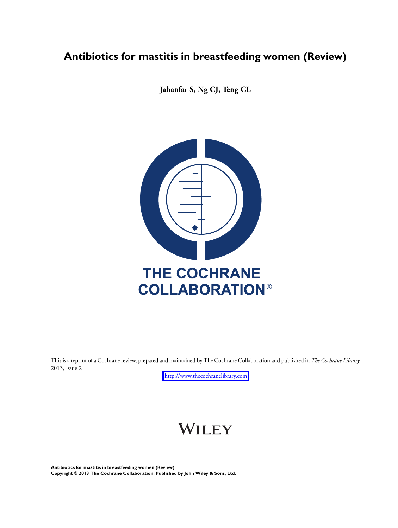# **Antibiotics for mastitis in breastfeeding women (Review)**

**Jahanfar S, Ng CJ, Teng CL**



This is a reprint of a Cochrane review, prepared and maintained by The Cochrane Collaboration and published in *The Cochrane Library* 2013, Issue 2

<http://www.thecochranelibrary.com>

# WILEY

**Antibiotics for mastitis in breastfeeding women (Review) Copyright © 2013 The Cochrane Collaboration. Published by John Wiley & Sons, Ltd.**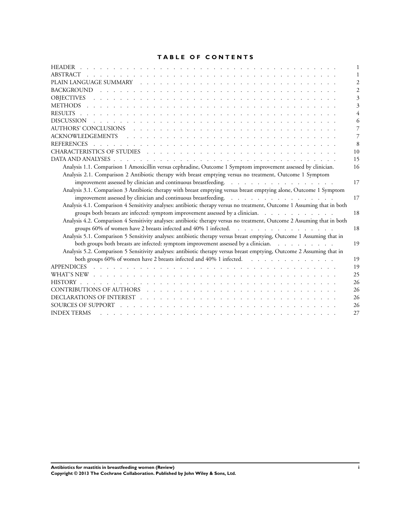# **TABLE OF CONTENTS**

| $\mathfrak{D}$                                                                                                             |
|----------------------------------------------------------------------------------------------------------------------------|
|                                                                                                                            |
|                                                                                                                            |
|                                                                                                                            |
|                                                                                                                            |
|                                                                                                                            |
|                                                                                                                            |
|                                                                                                                            |
| 8                                                                                                                          |
| 10                                                                                                                         |
| 15                                                                                                                         |
| Analysis 1.1. Comparison 1 Amoxicillin versus cephradine, Outcome 1 Symptom improvement assessed by clinician.<br>16       |
| Analysis 2.1. Comparison 2 Antibiotic therapy with breast emptying versus no treatment, Outcome 1 Symptom                  |
| improvement assessed by clinician and continuous breastfeeding.<br>17                                                      |
| Analysis 3.1. Comparison 3 Antibiotic therapy with breast emptying versus breast emptying alone, Outcome 1 Symptom         |
| improvement assessed by clinician and continuous breastfeeding.<br>17                                                      |
| Analysis 4.1. Comparison 4 Sensitivity analyses: antibiotic therapy versus no treatment, Outcome 1 Assuming that in both   |
| groups both breasts are infected: symptom improvement assessed by a clinician.<br>18                                       |
| Analysis 4.2. Comparison 4 Sensitivity analyses: antibiotic therapy versus no treatment, Outcome 2 Assuming that in both   |
| groups 60% of women have 2 breasts infected and 40% 1 infected. $\ldots$ . $\ldots$ . $\ldots$ . $\ldots$ . $\ldots$<br>18 |
| Analysis 5.1. Comparison 5 Sensitivity analyses: antibiotic therapy versus breast emptying, Outcome 1 Assuming that in     |
| both groups both breasts are infected: symptom improvement assessed by a clinician.<br>19                                  |
| Analysis 5.2. Comparison 5 Sensitivity analyses: antibiotic therapy versus breast emptying, Outcome 2 Assuming that in     |
| both groups 60% of women have 2 breasts infected and 40% 1 infected.<br>19                                                 |
| 19                                                                                                                         |
| 25                                                                                                                         |
| 26                                                                                                                         |
| 26                                                                                                                         |
| 26                                                                                                                         |
| 26                                                                                                                         |
| <b>INDEX TERMS</b><br>27                                                                                                   |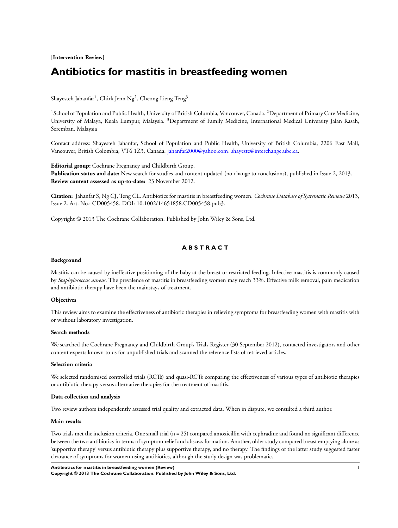**[Intervention Review]**

# **Antibiotics for mastitis in breastfeeding women**

## Shayesteh Jahanfar $^1$ , Chirk Jenn Ng $^2$ , Cheong Lieng Teng $^3$

<sup>1</sup> School of Population and Public Health, University of British Columbia, Vancouver, Canada. <sup>2</sup>Department of Primary Care Medicine, University of Malaya, Kuala Lumpur, Malaysia. <sup>3</sup>Department of Family Medicine, International Medical University Jalan Rasah, Seremban, Malaysia

Contact address: Shayesteh Jahanfar, School of Population and Public Health, University of British Columbia, 2206 East Mall, Vancouver, British Colombia, VT6 1Z3, Canada. [jahanfar2000@yahoo.com.](mailto:jahanfar2000@yahoo.com) [shayeste@interchange.ubc.ca.](mailto:shayeste@interchange.ubc.ca)

**Editorial group:** Cochrane Pregnancy and Childbirth Group. **Publication status and date:** New search for studies and content updated (no change to conclusions), published in Issue 2, 2013. **Review content assessed as up-to-date:** 23 November 2012.

**Citation:** Jahanfar S, Ng CJ, Teng CL. Antibiotics for mastitis in breastfeeding women. *Cochrane Database of Systematic Reviews* 2013, Issue 2. Art. No.: CD005458. DOI: 10.1002/14651858.CD005458.pub3.

Copyright © 2013 The Cochrane Collaboration. Published by John Wiley & Sons, Ltd.

# **A B S T R A C T**

#### **Background**

Mastitis can be caused by ineffective positioning of the baby at the breast or restricted feeding. Infective mastitis is commonly caused by *Staphylococcus aureus*. The prevalence of mastitis in breastfeeding women may reach 33%. Effective milk removal, pain medication and antibiotic therapy have been the mainstays of treatment.

#### **Objectives**

This review aims to examine the effectiveness of antibiotic therapies in relieving symptoms for breastfeeding women with mastitis with or without laboratory investigation.

#### **Search methods**

We searched the Cochrane Pregnancy and Childbirth Group's Trials Register (30 September 2012), contacted investigators and other content experts known to us for unpublished trials and scanned the reference lists of retrieved articles.

#### **Selection criteria**

We selected randomised controlled trials (RCTs) and quasi-RCTs comparing the effectiveness of various types of antibiotic therapies or antibiotic therapy versus alternative therapies for the treatment of mastitis.

#### **Data collection and analysis**

Two review authors independently assessed trial quality and extracted data. When in dispute, we consulted a third author.

#### **Main results**

Two trials met the inclusion criteria. One small trial (n = 25) compared amoxicillin with cephradine and found no significant difference between the two antibiotics in terms of symptom relief and abscess formation. Another, older study compared breast emptying alone as 'supportive therapy' versus antibiotic therapy plus supportive therapy, and no therapy. The findings of the latter study suggested faster clearance of symptoms for women using antibiotics, although the study design was problematic.

**Antibiotics for mastitis in breastfeeding women (Review) 1**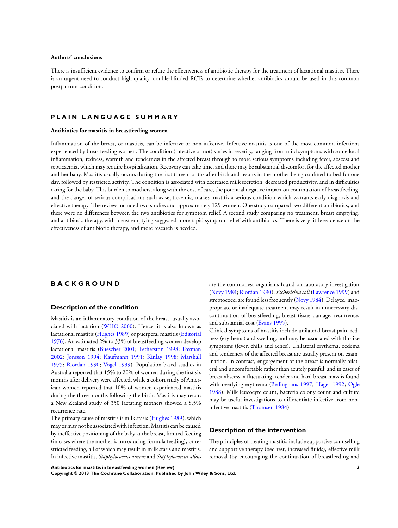#### **Authors' conclusions**

There is insufficient evidence to confirm or refute the effectiveness of antibiotic therapy for the treatment of lactational mastitis. There is an urgent need to conduct high-quality, double-blinded RCTs to determine whether antibiotics should be used in this common postpartum condition.

### **P L A I N L A N G U A G E S U M M A R Y**

#### **Antibiotics for mastitis in breastfeeding women**

Inflammation of the breast, or mastitis, can be infective or non-infective. Infective mastitis is one of the most common infections experienced by breastfeeding women. The condition (infective or not) varies in severity, ranging from mild symptoms with some local inflammation, redness, warmth and tenderness in the affected breast through to more serious symptoms including fever, abscess and septicaemia, which may require hospitalisation. Recovery can take time, and there may be substantial discomfort for the affected mother and her baby. Mastitis usually occurs during the first three months after birth and results in the mother being confined to bed for one day, followed by restricted activity. The condition is associated with decreased milk secretion, decreased productivity, and in difficulties caring for the baby. This burden to mothers, along with the cost of care, the potential negative impact on continuation of breastfeeding, and the danger of serious complications such as septicaemia, makes mastitis a serious condition which warrants early diagnosis and effective therapy. The review included two studies and approximately 125 women. One study compared two different antibiotics, and there were no differences between the two antibiotics for symptom relief. A second study comparing no treatment, breast emptying, and antibiotic therapy, with breast emptying suggested more rapid symptom relief with antibiotics. There is very little evidence on the effectiveness of antibiotic therapy, and more research is needed.

# **B A C K G R O U N D**

#### **Description of the condition**

Mastitis is an inflammatory condition of the breast, usually associated with lactation ([WHO 2000\)](#page-9-0). Hence, it is also known as lactational mastitis [\(Hughes 1989\)](#page-9-0) or puerperal mastitis ([Editorial](#page-9-0) [1976](#page-9-0)). An estimated 2% to 33% of breastfeeding women develop lactational mastitis [\(Buescher 2001](#page-9-0); [Fetherston 1998](#page-9-0); [Foxman](#page-9-0) [2002](#page-9-0); [Jonsson 1994;](#page-9-0) [Kaufmann 1991;](#page-9-0) [Kinlay 1998;](#page-9-0) [Marshall](#page-9-0) [1975](#page-9-0); [Riordan 1990](#page-9-0); [Vogel 1999](#page-9-0)). Population-based studies in Australia reported that 15% to 20% of women during the first six months after delivery were affected, while a cohort study of American women reported that 10% of women experienced mastitis during the three months following the birth. Mastitis may recur: a New Zealand study of 350 lactating mothers showed a 8.5% recurrence rate.

The primary cause of mastitis is milk stasis [\(Hughes 1989](#page-9-0)), which may or may not be associated with infection. Mastitis can be caused by ineffective positioning of the baby at the breast, limited feeding (in cases where the mother is introducing formula feeding), or restricted feeding, all of which may result in milk stasis and mastitis. In infective mastitis, *Staphylococcus aureus* and *Staphylococcus albus*

are the commonest organisms found on laboratory investigation [\(Novy 1984;](#page-9-0) [Riordan 1990](#page-9-0)). *Escherichia coli* [\(Lawrence 1999\)](#page-9-0) and streptococci are found less frequently ([Novy 1984](#page-9-0)). Delayed, inappropriate or inadequate treatment may result in unnecessary discontinuation of breastfeeding, breast tissue damage, recurrence, and substantial cost [\(Evans 1995\)](#page-9-0).

Clinical symptoms of mastitis include unilateral breast pain, redness (erythema) and swelling, and may be associated with flu-like symptoms (fever, chills and aches). Unilateral erythema, oedema and tenderness of the affected breast are usually present on examination. In contrast, engorgement of the breast is normally bilateral and uncomfortable rather than acutely painful; and in cases of breast abscess, a fluctuating, tender and hard breast mass is found with overlying erythema ([Bedinghaus 1997;](#page-9-0) [Hager 1992;](#page-9-0) [Ogle](#page-9-0) [1988](#page-9-0)). Milk leucocyte count, bacteria colony count and culture may be useful investigations to differentiate infective from noninfective mastitis ([Thomsen 1984](#page-9-0)).

## **Description of the intervention**

The principles of treating mastitis include supportive counselling and supportive therapy (bed rest, increased fluids), effective milk removal (by encouraging the continuation of breastfeeding and

**Antibiotics for mastitis in breastfeeding women (Review) 2**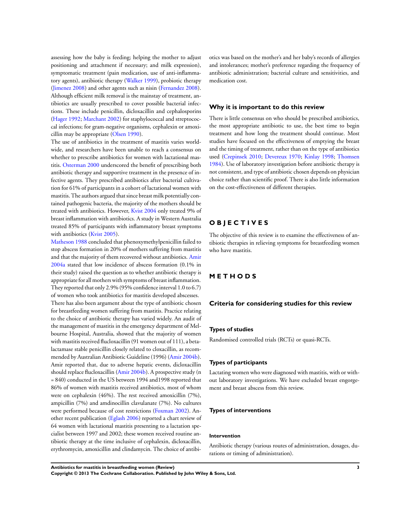assessing how the baby is feeding; helping the mother to adjust positioning and attachment if necessary; and milk expression), symptomatic treatment (pain medication, use of anti-inflammatory agents), antibiotic therapy ([Walker 1999\)](#page-9-0), probiotic therapy [\(Jimenez 2008\)](#page-9-0) and other agents such as nisin [\(Fernandez 2008](#page-9-0)). Although efficient milk removal is the mainstay of treatment, antibiotics are usually prescribed to cover possible bacterial infections. These include penicillin, dicloxacillin and cephalosporins [\(Hager 1992](#page-9-0); [Marchant 2002\)](#page-9-0) for staphylococcal and streptococcal infections; for gram-negative organisms, cephalexin or amoxicillin may be appropriate [\(Olsen 1990\)](#page-9-0).

The use of antibiotics in the treatment of mastitis varies worldwide, and researchers have been unable to reach a consensus on whether to prescribe antibiotics for women with lactational mastitis. [Osterman 2000](#page-9-0) underscored the benefit of prescribing both antibiotic therapy and supportive treatment in the presence of infective agents. They prescribed antibiotics after bacterial cultivation for 61% of participants in a cohort of lactational women with mastitis. The authors argued that since breast milk potentially contained pathogenic bacteria, the majority of the mothers should be treated with antibiotics. However, [Kvist 2004](#page-9-0) only treated 9% of breast inflammation with antibiotics. A study in Western Australia treated 85% of participants with inflammatory breast symptoms with antibiotics [\(Kvist 2005](#page-9-0)).

[Matheson 1988](#page-9-0) concluded that phenoxymethylpenicillin failed to stop abscess formation in 20% of mothers suffering from mastitis and that the majority of them recovered without antibiotics. [Amir](#page-9-0) [2004a](#page-9-0) stated that low incidence of abscess formation (0.1% in their study) raised the question as to whether antibiotic therapy is appropriate for all mothers with symptoms of breast inflammation. They reported that only 2.9% (95% confidence interval 1.0 to 6.7) of women who took antibiotics for mastitis developed abscesses. There has also been argument about the type of antibiotic chosen for breastfeeding women suffering from mastitis. Practice relating to the choice of antibiotic therapy has varied widely. An audit of the management of mastitis in the emergency department of Melbourne Hospital, Australia, showed that the majority of women with mastitis received flucloxacillin (91 women out of 111), a betalactamase stable penicillin closely related to cloxacillin, as recommended by Australian Antibiotic Guideline (1996) ([Amir 2004b](#page-9-0)). Amir reported that, due to adverse hepatic events, dicloxacillin should replace flucloxacillin [\(Amir 2004b](#page-9-0)). A prospective study (n = 840) conducted in the US between 1994 and1998 reported that 86% of women with mastitis received antibiotics, most of whom were on cephalexin (46%). The rest received amoxicillin (7%), ampicillin (7%) and amdinocillin clavulanate (7%). No cultures were performed because of cost restrictions ([Foxman 2002](#page-9-0)). Another recent publication ([Eglash 2006](#page-9-0)) reported a chart review of 64 women with lactational mastitis presenting to a lactation specialist between 1997 and 2002; these women received routine antibiotic therapy at the time inclusive of cephalexin, dicloxacillin, erythromycin, amoxicillin and clindamycin. The choice of antibiotics was based on the mother's and her baby's records of allergies and intolerances; mother's preference regarding the frequency of antibiotic administration; bacterial culture and sensitivities, and medication cost.

#### **Why it is important to do this review**

There is little consensus on who should be prescribed antibiotics, the most appropriate antibiotic to use, the best time to begin treatment and how long the treatment should continue. Most studies have focused on the effectiveness of emptying the breast and the timing of treatment, rather than on the type of antibiotics used ([Crepinsek 2010;](#page-9-0) [Devereux 1970](#page-9-0); [Kinlay 1998;](#page-9-0) [Thomsen](#page-9-0) [1984](#page-9-0)). Use of laboratory investigation before antibiotic therapy is not consistent, and type of antibiotic chosen depends on physician choice rather than scientific proof. There is also little information on the cost-effectiveness of different therapies.

# **O B J E C T I V E S**

The objective of this review is to examine the effectiveness of antibiotic therapies in relieving symptoms for breastfeeding women who have mastitis.

# **M E T H O D S**

# **Criteria for considering studies for this review**

#### **Types of studies**

Randomised controlled trials (RCTs) or quasi-RCTs.

#### **Types of participants**

Lactating women who were diagnosed with mastitis, with or without laboratory investigations. We have excluded breast engorgement and breast abscess from this review.

### **Types of interventions**

#### **Intervention**

Antibiotic therapy (various routes of administration, dosages, durations or timing of administration).

**Antibiotics for mastitis in breastfeeding women (Review) 3**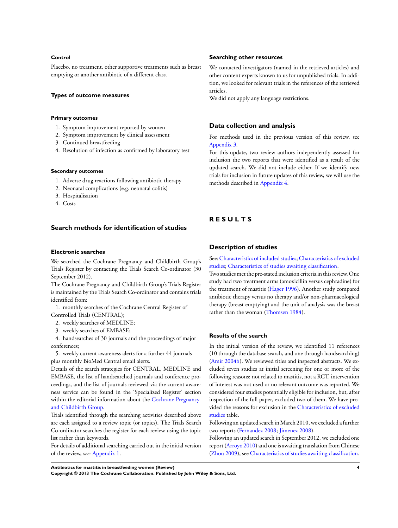#### **Control**

Placebo, no treatment, other supportive treatments such as breast emptying or another antibiotic of a different class.

#### **Types of outcome measures**

#### **Primary outcomes**

- 1. Symptom improvement reported by women
- 2. Symptom improvement by clinical assessment
- 3. Continued breastfeeding
- 4. Resolution of infection as confirmed by laboratory test

#### **Secondary outcomes**

- 1. Adverse drug reactions following antibiotic therapy
- 2. Neonatal complications (e.g. neonatal colitis)
- 3. Hospitalisation
- 4. Costs

# **Search methods for identification of studies**

#### **Electronic searches**

We searched the Cochrane Pregnancy and Childbirth Group's Trials Register by contacting the Trials Search Co-ordinator (30 September 2012).

The Cochrane Pregnancy and Childbirth Group's Trials Register is maintained by the Trials Search Co-ordinator and contains trials identified from:

1. monthly searches of the Cochrane Central Register of

Controlled Trials (CENTRAL);

2. weekly searches of MEDLINE;

3. weekly searches of EMBASE;

4. handsearches of 30 journals and the proceedings of major conferences;

5. weekly current awareness alerts for a further 44 journals plus monthly BioMed Central email alerts.

Details of the search strategies for CENTRAL, MEDLINE and EMBASE, the list of handsearched journals and conference proceedings, and the list of journals reviewed via the current awareness service can be found in the 'Specialized Register' section within the editorial information about the [Cochrane Pregnancy](http://www.mrw.interscience.wiley.com/cochrane/clabout/articles/PREG/frame.html) [and Childbirth Group](http://www.mrw.interscience.wiley.com/cochrane/clabout/articles/PREG/frame.html).

Trials identified through the searching activities described above are each assigned to a review topic (or topics). The Trials Search Co-ordinator searches the register for each review using the topic list rather than keywords.

For details of additional searching carried out in the initial version of the review, s*ee:* [Appendix 1.](#page-21-0)

#### **Searching other resources**

We contacted investigators (named in the retrieved articles) and other content experts known to us for unpublished trials. In addition, we looked for relevant trials in the references of the retrieved articles.

We did not apply any language restrictions.

#### **Data collection and analysis**

For methods used in the previous version of this review, see [Appendix 3.](#page-21-0)

For this update, two review authors independently assessed for inclusion the two reports that were identified as a result of the updated search. We did not include either. If we identify new trials for inclusion in future updates of this review, we will use the methods described in [Appendix 4.](#page-23-0)

# **R E S U L T S**

# **Description of studies**

See:[Characteristics of included studies;](#page-12-0)[Characteristics of excluded](#page-15-0) [studies;](#page-15-0) [Characteristics of studies awaiting classification.](#page-15-0)

Two studies met the pre-stated inclusion criteria in this review. One study had two treatment arms (amoxicillin versus cephradine) for the treatment of mastitis [\(Hager 1996\)](#page-9-0). Another study compared antibiotic therapy versus no therapy and/or non-pharmacological therapy (breast emptying) and the unit of analysis was the breast rather than the woman [\(Thomsen 1984\)](#page-9-0).

### **Results of the search**

In the initial version of the review, we identified 11 references (10 through the database search, and one through handsearching) [\(Amir 2004b\)](#page-9-0). We reviewed titles and inspected abstracts. We excluded seven studies at initial screening for one or more of the following reasons: not related to mastitis, not a RCT, intervention of interest was not used or no relevant outcome was reported. We considered four studies potentially eligible for inclusion, but, after inspection of the full paper, excluded two of them. We have provided the reasons for exclusion in the [Characteristics of excluded](#page-15-0) [studies](#page-15-0) table.

Following an updated search in March 2010, we excluded a further two reports ([Fernandez 2008;](#page-9-0) [Jimenez 2008](#page-9-0)).

Following an updated search in September 2012, we excluded one report ([Arroyo 2010](#page-9-0)) and one is awaiting translation from Chinese [\(Zhou 2009](#page-9-0)), see [Characteristics of studies awaiting classification.](#page-15-0)

**Antibiotics for mastitis in breastfeeding women (Review) 4**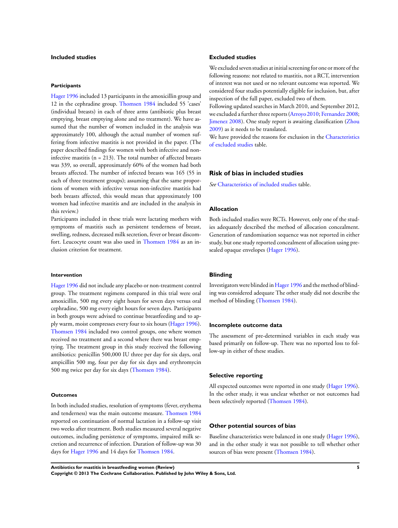# **Included studies**

#### **Participants**

[Hager 1996](#page-9-0) included 13 participants in the amoxicillin group and 12 in the cephradine group. [Thomsen 1984](#page-9-0) included 55 'cases' (individual breasts) in each of three arms (antibiotic plus breast emptying, breast emptying alone and no treatment). We have assumed that the number of women included in the analysis was approximately 100, although the actual number of women suffering from infective mastitis is not provided in the paper. (The paper described findings for women with both infective and noninfective mastitis ( $n = 213$ ). The total number of affected breasts was 339, so overall, approximately 60% of the women had both breasts affected. The number of infected breasts was 165 (55 in each of three treatment groups); assuming that the same proportions of women with infective versus non-infective mastitis had both breasts affected, this would mean that approximately 100 women had infective mastitis and are included in the analysis in this review.)

Participants included in these trials were lactating mothers with symptoms of mastitis such as persistent tenderness of breast, swelling, redness, decreased milk secretion, fever or breast discomfort. Leucocyte count was also used in [Thomsen 1984](#page-9-0) as an inclusion criterion for treatment.

#### **Intervention**

[Hager 1996](#page-9-0) did not include any placebo or non-treatment control group. The treatment regimens compared in this trial were oral amoxicillin, 500 mg every eight hours for seven days versus oral cephradine, 500 mg every eight hours for seven days. Participants in both groups were advised to continue breastfeeding and to apply warm, moist compresses every four to six hours ([Hager 1996](#page-9-0)). [Thomsen 1984](#page-9-0) included two control groups, one where women received no treatment and a second where there was breast emptying. The treatment group in this study received the following antibiotics: penicillin 500,000 IU three per day for six days, oral ampicillin 500 mg, four per day for six days and erythromycin 500 mg twice per day for six days [\(Thomsen 1984\)](#page-9-0).

#### **Outcomes**

In both included studies, resolution of symptoms (fever, erythema and tenderness) was the main outcome measure. [Thomsen 1984](#page-9-0) reported on continuation of normal lactation in a follow-up visit two weeks after treatment. Both studies measured several negative outcomes, including persistence of symptoms, impaired milk secretion and recurrence of infection. Duration of follow-up was 30 days for [Hager 1996](#page-9-0) and 14 days for [Thomsen 1984](#page-9-0).

#### **Excluded studies**

We excluded seven studies at initial screening for one or more of the following reasons: not related to mastitis, not a RCT, intervention of interest was not used or no relevant outcome was reported. We considered four studies potentially eligible for inclusion, but, after inspection of the full paper, excluded two of them.

Following updated searches in March 2010, and September 2012, we excluded a further three reports [\(Arroyo2010](#page-9-0); [Fernandez 2008;](#page-9-0) [Jimenez 2008](#page-9-0)). One study report is awaiting classification ([Zhou](#page-9-0) [2009](#page-9-0)) as it needs to be translated.

We have provided the reasons for exclusion in the [Characteristics](#page-15-0) [of excluded studies](#page-15-0) table.

# **Risk of bias in included studies**

*See* [Characteristics of included studies](#page-12-0) table.

# **Allocation**

Both included studies were RCTs. However, only one of the studies adequately described the method of allocation concealment. Generation of randomisation sequence was not reported in either study, but one study reported concealment of allocation using presealed opaque envelopes ([Hager 1996\)](#page-9-0).

#### **Blinding**

Investigators were blinded in [Hager 1996](#page-9-0) and the method of blinding was considered adequate The other study did not describe the method of blinding [\(Thomsen 1984\)](#page-9-0).

#### **Incomplete outcome data**

The assessment of pre-determined variables in each study was based primarily on follow-up. There was no reported loss to follow-up in either of these studies.

# **Selective reporting**

All expected outcomes were reported in one study [\(Hager 1996](#page-9-0)). In the other study, it was unclear whether or not outcomes had been selectively reported [\(Thomsen 1984](#page-9-0)).

### **Other potential sources of bias**

Baseline characteristics were balanced in one study ([Hager 1996](#page-9-0)), and in the other study it was not possible to tell whether other sources of bias were present [\(Thomsen 1984\)](#page-9-0).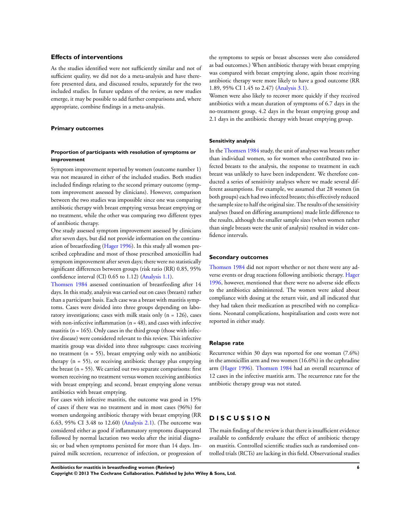### **Effects of interventions**

As the studies identified were not sufficiently similar and not of sufficient quality, we did not do a meta-analysis and have therefore presented data, and discussed results, separately for the two included studies. In future updates of the review, as new studies emerge, it may be possible to add further comparisons and, where appropriate, combine findings in a meta-analysis.

#### **Primary outcomes**

# **Proportion of participants with resolution of symptoms or improvement**

Symptom improvement reported by women (outcome number 1) was not measured in either of the included studies. Both studies included findings relating to the second primary outcome (symptom improvement assessed by clinicians). However, comparison between the two studies was impossible since one was comparing antibiotic therapy with breast emptying versus breast emptying or no treatment, while the other was comparing two different types of antibiotic therapy.

One study assessed symptom improvement assessed by clinicians after seven days, but did not provide information on the continuation of breastfeeding ([Hager 1996](#page-9-0)). In this study all women prescribed cephradine and most of those prescribed amoxicillin had symptom improvement after seven days; there were no statistically significant differences between groups (risk ratio (RR) 0.85, 95% confidence interval (CI) 0.65 to 1.12) ([Analysis 1.1\)](#page-17-0).

[Thomsen 1984](#page-9-0) assessed continuation of breastfeeding after 14 days. In this study, analysis was carried out on cases (breasts) rather than a participant basis. Each case was a breast with mastitis symptoms. Cases were divided into three groups depending on laboratory investigations; cases with milk stasis only  $(n = 126)$ , cases with non-infective inflammation ( $n = 48$ ), and cases with infective mastitis ( $n = 165$ ). Only cases in the third group (those with infective disease) were considered relevant to this review. This infective mastitis group was divided into three subgroups: cases receiving no treatment (n = 55), breast emptying only with no antibiotic therapy  $(n = 55)$ , or receiving antibiotic therapy plus emptying the breast  $(n = 55)$ . We carried out two separate comparisons: first women receiving no treatment versus women receiving antibiotics with breast emptying; and second, breast emptying alone versus antibiotics with breast emptying.

For cases with infective mastitis, the outcome was good in 15% of cases if there was no treatment and in most cases (96%) for women undergoing antibiotic therapy with breast emptying (RR 6.63, 95% CI 3.48 to 12.60) ([Analysis 2.1\)](#page-18-0). (The outcome was considered either as good if inflammatory symptoms disappeared followed by normal lactation two weeks after the initial diagnosis; or bad when symptoms persisted for more than 14 days. Impaired milk secretion, recurrence of infection, or progression of

the symptoms to sepsis or breast abscesses were also considered as bad outcomes.) When antibiotic therapy with breast emptying was compared with breast emptying alone, again those receiving antibiotic therapy were more likely to have a good outcome (RR 1.89, 95% CI 1.45 to 2.47) ([Analysis 3.1\)](#page-18-0).

Women were also likely to recover more quickly if they received antibiotics with a mean duration of symptoms of 6.7 days in the no-treatment group, 4.2 days in the breast emptying group and 2.1 days in the antibiotic therapy with breast emptying group.

#### **Sensitivity analysis**

In the [Thomsen 1984](#page-9-0) study, the unit of analyses was breasts rather than individual women, so for women who contributed two infected breasts to the analysis, the response to treatment in each breast was unlikely to have been independent. We therefore conducted a series of sensitivity analyses where we made several different assumptions. For example, we assumed that 28 women (in both groups) each had two infected breasts; this effectively reduced the sample size to half the original size. The results of the sensitivity analyses (based on differing assumptions) made little difference to the results, although the smaller sample sizes (when women rather than single breasts were the unit of analysis) resulted in wider confidence intervals.

#### **Secondary outcomes**

[Thomsen 1984](#page-9-0) did not report whether or not there were any adverse events or drug reactions following antibiotic therapy. [Hager](#page-9-0) [1996](#page-9-0), however, mentioned that there were no adverse side effects to the antibiotics administered. The women were asked about compliance with dosing at the return visit, and all indicated that they had taken their medication as prescribed with no complications. Neonatal complications, hospitalisation and costs were not reported in either study.

#### **Relapse rate**

Recurrence within 30 days was reported for one woman (7.6%) in the amoxicillin arm and two women (16.6%) in the cephradine arm ([Hager 1996\)](#page-9-0). [Thomsen 1984](#page-9-0) had an overall recurrence of 12 cases in the infective mastitis arm. The recurrence rate for the antibiotic therapy group was not stated.

# **D I S C U S S I O N**

The main finding of the review is that there is insufficient evidence available to confidently evaluate the effect of antibiotic therapy on mastitis. Controlled scientific studies such as randomised controlled trials (RCTs) are lacking in this field. Observational studies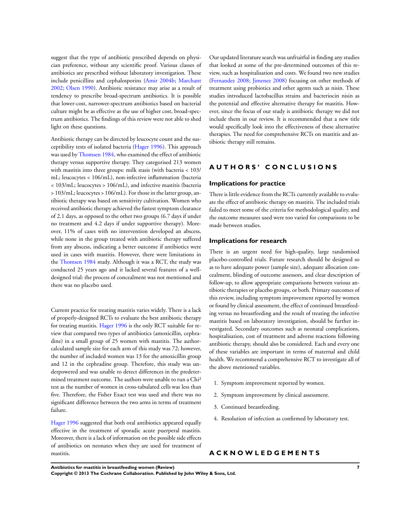suggest that the type of antibiotic prescribed depends on physician preference, without any scientific proof. Various classes of antibiotics are prescribed without laboratory investigation. These include penicillins and cephalosporins ([Amir 2004b;](#page-9-0) [Marchant](#page-9-0) [2002](#page-9-0); [Olsen 1990](#page-9-0)). Antibiotic resistance may arise as a result of tendency to prescribe broad-spectrum antibiotics. It is possible that lower-cost, narrower-spectrum antibiotics based on bacterial culture might be as effective as the use of higher cost, broad-spectrum antibiotics. The findings of this review were not able to shed light on these questions.

Antibiotic therapy can be directed by leucocyte count and the susceptibility tests of isolated bacteria [\(Hager 1996](#page-9-0)). This approach was used by [Thomsen 1984,](#page-9-0) who examined the effect of antibiotic therapy versus supportive therapy. They categorised 213 women with mastitis into three groups: milk stasis (with bacteria < 103/ mL; leucocytes < 106/mL), non-infective inflammation (bacteria < 103/mL; leucocytes > 106/mL), and infective mastitis (bacteria > 103/mL; leucocytes > 106/mL). For those in the latter group, antibiotic therapy was based on sensitivity cultivation. Women who received antibiotic therapy achieved the fastest symptom clearance of 2.1 days, as opposed to the other two groups (6.7 days if under no treatment and 4.2 days if under supportive therapy). Moreover, 11% of cases with no intervention developed an abscess, while none in the group treated with antibiotic therapy suffered from any abscess, indicating a better outcome if antibiotics were used in cases with mastitis. However, there were limitations in the [Thomsen 1984](#page-9-0) study. Although it was a RCT, the study was conducted 25 years ago and it lacked several features of a welldesigned trial: the process of concealment was not mentioned and there was no placebo used.

Current practice for treating mastitis varies widely. There is a lack of properly-designed RCTs to evaluate the best antibiotic therapy for treating mastitis. [Hager 1996](#page-9-0) is the only RCT suitable for review that compared two types of antibiotics (amoxicillin, cephradine) in a small group of 25 women with mastitis. The authorcalculated sample size for each arm of this study was 72; however, the number of included women was 13 for the amoxicillin group and 12 in the cephradine group. Therefore, this study was underpowered and was unable to detect differences in the predetermined treatment outcome. The authors were unable to run a Chi<sup>2</sup> test as the number of women in cross-tabulated cells was less than five. Therefore, the Fisher Exact test was used and there was no significant difference between the two arms in terms of treatment failure.

[Hager 1996](#page-9-0) suggested that both oral antibiotics appeared equally effective in the treatment of sporadic acute puerperal mastitis. Moreover, there is a lack of information on the possible side effects of antibiotics on neonates when they are used for treatment of mastitis.

Our updated literature search was unfruitful in finding any studies that looked at some of the pre-determined outcomes of this review, such as hospitalisation and costs. We found two new studies [\(Fernandez 2008;](#page-9-0) [Jimenez 2008\)](#page-9-0) focusing on other methods of treatment using probiotics and other agents such as nisin. These studies introduced lactobacillus strains and bacteriocin nisin as the potential and effective alternative therapy for mastitis. However, since the focus of our study is antibiotic therapy we did not include them in our review. It is recommended that a new title would specifically look into the effectiveness of these alternative therapies. The need for comprehensive RCTs on mastitis and antibiotic therapy still remains.

# **A U T H O R S ' C O N C L U S I O N S**

#### **Implications for practice**

There is little evidence from the RCTs currently available to evaluate the effect of antibiotic therapy on mastitis. The included trials failed to meet some of the criteria for methodological quality, and the outcome measures used were too varied for comparisons to be made between studies.

#### **Implications for research**

There is an urgent need for high-quality, large randomised placebo-controlled trials. Future research should be designed so as to have adequate power (sample size), adequate allocation concealment, blinding of outcome assessors, and clear description of follow-up, to allow appropriate comparisons between various antibiotic therapies or placebo groups, or both. Primary outcomes of this review, including symptom improvement reported by women or found by clinical assessment, the effect of continued breastfeeding versus no breastfeeding and the result of treating the infective mastitis based on laboratory investigation, should be further investigated. Secondary outcomes such as neonatal complications, hospitalisation, cost of treatment and adverse reactions following antibiotic therapy, should also be considered. Each and every one of these variables are important in terms of maternal and child health. We recommend a comprehensive RCT to investigate all of the above mentioned variables.

- 1. Symptom improvement reported by women.
- 2. Symptom improvement by clinical assessment.
- 3. Continued breastfeeding.
- 4. Resolution of infection as confirmed by laboratory test.

# **A C K N O W L E D G E M E N T S**

**Antibiotics for mastitis in breastfeeding women (Review) 7 Copyright © 2013 The Cochrane Collaboration. Published by John Wiley & Sons, Ltd.**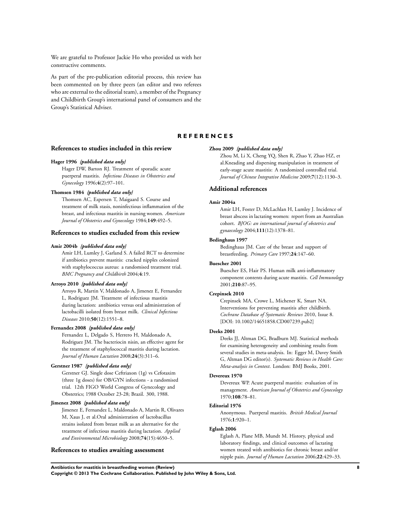<span id="page-9-0"></span>We are grateful to Professor Jackie Ho who provided us with her constructive comments.

As part of the pre-publication editorial process, this review has been commented on by three peers (an editor and two referees who are external to the editorial team), a member of the Pregnancy and Childbirth Group's international panel of consumers and the Group's Statistical Adviser.

# **R E F E R E N C E S**

#### **References to studies included in this review**

#### **Hager 1996** *{published data only}*

Hager DW, Barton RJ. Treatment of sporadic acute puerperal mastitis. *Infectious Diseases in Obstetrics and Gynecology* 1996;**4**(2):97–101.

#### **Thomsen 1984** *{published data only}*

Thomsen AC, Espersen T, Maigaard S. Course and treatment of milk stasis, noninfectious inflammation of the breast, and infectious mastitis in nursing women. *American Journal of Obstetrics and Gynecology* 1984;**149**:492–5.

# **References to studies excluded from this review**

#### **Amir 2004b** *{published data only}*

Amir LH, Lumley J, Garland S. A failed RCT to determine if antibiotics prevent mastitis: cracked nipples colonized with staphylococcus aureus: a randomised treatment trial. *BMC Pregnancy and Childbirth* 2004;**4**:19.

#### **Arroyo 2010** *{published data only}*

Arroyo R, Martin V, Maldonado A, Jimenez E, Fernandez L, Rodriguez JM. Treatment of infectious mastitis during lactation: antibiotics versus oral administration of lactobacilli isolated from breast milk. *Clinical Infectious Diseases* 2010;**50**(12):1551–8.

#### **Fernandez 2008** *{published data only}*

Fernandez L, Delgado S, Herrero H, Maldonado A, Rodriguez JM. The bacteriocin nisin, an effective agent for the treatment of staphylococcal mastitis during lactation. *Journal of Human Lactation* 2008;**24**(3):311–6.

#### **Gerstner 1987** *{published data only}*

Gerstner GJ. Single dose Ceftriaxon (1g) vs Cefotaxim (three 1g doses) for OB/GYN infections - a randomised trial. 12th FIGO World Congress of Gynecology and Obstetrics; 1988 October 23-28; Brazil. 300, 1988.

#### **Jimenez 2008** *{published data only}*

Jimenez E, Fernandez L, Maldonado A, Martin R, Olivares M, Xaus J, et al.Oral administration of lactobacillus strains isolated from breast milk as an alternative for the treatment of infectious mastitis during lactation. *Applied and Environmental Microbiology* 2008;**74**(15):4650–5.

#### **References to studies awaiting assessment**

#### **Zhou 2009** *{published data only}*

Zhou M, Li X, Cheng YQ, Shen R, Zhao Y, Zhao HZ, et al.Kneading and dispersing manipulation in treatment of early-stage acute mastitis: A randomized controlled trial. *Journal of Chinese Integrative Medicine* 2009;**7**(12):1130–3.

# **Additional references**

#### **Amir 2004a**

Amir LH, Foster D, McLachlan H, Lumley J. Incidence of breast abscess in lactating women: report from an Australian cohort. *BJOG: an international journal of obstetrics and gynaecology* 2004;**111**(12):1378–81.

### **Bedinghaus 1997**

Bedinghaus JM. Care of the breast and support of breastfeeding. *Primary Care* 1997;**24**:147–60.

#### **Buescher 2001**

Buescher ES, Hair PS. Human milk anti-inflammatory component contents during acute mastitis. *Cell Immunology* 2001;**210**:87–95.

#### **Crepinsek 2010**

Crepinsek MA, Crowe L, Michener K, Smart NA. Interventions for preventing mastitis after childbirth. *Cochrane Database of Systematic Reviews* 2010, Issue 8. [DOI: 10.1002/14651858.CD007239.pub2]

#### **Deeks 2001**

Deeks JJ, Altman DG, Bradburn MJ. Statistical methods for examining heterogeneity and combining results from several studies in meta-analysis. In: Egger M, Davey Smith G, Altman DG editor(s). *Systematic Reviews in Health Care: Meta-analysis in Context*. London: BMJ Books, 2001.

#### **Devereux 1970**

Devereux WP. Acute puerperal mastitis: evaluation of its management. *American Journal of Obstetrics and Gynecology* 1970;**108**:78–81.

#### **Editorial 1976**

Anonymous. Puerperal mastitis. *British Medical Journal* 1976;**1**:920–1.

# **Eglash 2006**

Eglash A, Plane MB, Mundt M. History, physical and laboratory findings, and clinical outcomes of lactating women treated with antibiotics for chronic breast and/or nipple pain. *Journal of Human Lactation* 2006;**22**:429–33.

**Antibiotics for mastitis in breastfeeding women (Review) 8 Copyright © 2013 The Cochrane Collaboration. Published by John Wiley & Sons, Ltd.**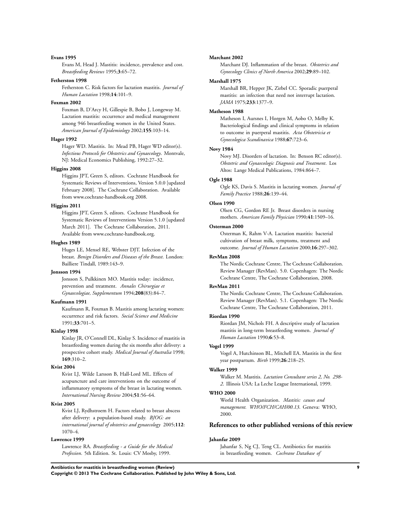#### **Evans 1995**

Evans M, Head J. Mastitis: incidence, prevalence and cost. *Breastfeeding Reviews* 1995;**3**:65–72.

#### **Fetherston 1998**

Fetherston C. Risk factors for lactation mastitis. *Journal of Human Lactation* 1998;**14**:101–9.

#### **Foxman 2002**

Foxman B, D'Arcy H, Gillespie B, Bobo J, Longeway M. Lactation mastitis: occurrence and medical management among 946 breastfeeding women in the United States. *American Journal of Epidemiology* 2002;**155**:103–14.

### **Hager 1992**

Hager WD. Mastitis. In: Mead PB, Hager WD editor(s). *Infectious Protocols for Obstetrics and Gynaecology*. Montvale, NJ: Medical Economics Publishing, 1992:27–32.

#### **Higgins 2008**

Higgins JPT, Green S, editors. Cochrane Handbook for Systematic Reviews of Interventions, Version 5.0.0 [updated February 2008]. The Cochrane Collaboration. Available from www.cochrane-handbook.org 2008.

# **Higgins 2011**

Higgins JPT, Green S, editors. Cochrane Handbook for Systematic Reviews of Interventions Version 5.1.0 [updated March 2011]. The Cochrane Collaboration, 2011. Available from www.cochrane-handbook.org.

#### **Hughes 1989**

Huges LE, Mensel RE, Webster DJT. Infection of the breast. *Benign Disorders and Diseases of the Breast*. London: Bailliere Tindall, 1989:143–9.

#### **Jonsson 1994**

Jonsson S, Pulkkinen MO. Mastitis today: incidence, prevention and treatment. *Annales Chirurgiae et Gynaecologiae, Supplementum* 1994;**208**(83):84–7.

# **Kaufmann 1991**

Kaufmann R, Foxman B. Mastitis among lactating women: occurrence and risk factors. *Social Science and Medicine* 1991;**33**:701–5.

#### **Kinlay 1998**

Kinlay JR, O'Connell DL, Kinlay S. Incidence of mastitis in breastfeeding women during the six months after delivery: a prospective cohort study. *Medical Journal of Australia* 1998; **169**:310–2.

#### **Kvist 2004**

Kvist LJ, Wilde Larsson B, Hall-Lord ML. Effects of acupuncture and care interventions on the outcome of inflammatory symptoms of the breast in lactating women. *International Nursing Review* 2004;**51**:56–64.

#### **Kvist 2005**

Kvist LJ, Rydhstroem H. Factors related to breast abscess after delivery: a population-based study. *BJOG: an international journal of obstetrics and gynaecology* 2005;**112**: 1070–4.

#### **Lawrence 1999**

Lawrence RA. *Breastfeeding - a Guide for the Medical Profession*. 5th Edition. St. Louis: CV Mosby, 1999.

#### **Marchant 2002**

Marchant DJ. Inflammation of the breast. *Obstetrics and Gynecology Clinics of North America* 2002;**29**:89–102.

#### **Marshall 1975**

Marshall BR, Hepper JK, Zirbel CC. Sporadic puerperal mastitis: an infection that need not interrupt lactation. *JAMA* 1975;**233**:1377–9.

#### **Matheson 1988**

Matheson I, Aursnes I, Horgen M, Aobo O, Melby K. Bacteriological findings and clinical symptoms in relation to outcome in puerperal mastitis. *Acta Obstetricia et Gynecologica Scandinavica* 1988;**67**:723–6.

#### **Novy 1984**

Novy MJ. Disorders of lactation. In: Benson RC editor(s). *Obstetric and Gynaecologic Diagnosis and Treatment*. Los Altos: Lange Medical Publications, 1984:864–7.

### **Ogle 1988**

Ogle KS, Davis S. Mastitis in lactating women. *Journal of Family Practice* 1988;**26**:139–44.

#### **Olsen 1990**

Olsen CG, Gordon RE Jr. Breast disorders in nursing mothers. *American Family Physician* 1990;**41**:1509–16.

#### **Osterman 2000**

Osterman K, Rahm V-A. Lactation mastitis: bacterial cultivation of breast milk, symptoms, treatment and outcome. *Journal of Human Lactation* 2000;**16**:297–302.

#### **RevMan 2008**

The Nordic Cochrane Centre, The Cochrane Collaboration. Review Manager (RevMan). 5.0. Copenhagen: The Nordic Cochrane Centre, The Cochrane Collaboration, 2008.

#### **RevMan 2011**

The Nordic Cochrane Centre, The Cochrane Collaboration. Review Manager (RevMan). 5.1. Copenhagen: The Nordic Cochrane Centre, The Cochrane Collaboration, 2011.

#### **Riordan 1990**

Riordan JM, Nichols FH. A descriptive study of lactation mastitis in long-term breastfeeding women. *Journal of Human Lactation* 1990;**6**:53–8.

## **Vogel 1999**

Vogel A, Hutchinson BL, Mitchell EA. Mastitis in the first year postpartum. *Birth* 1999;**26**:218–25.

#### **Walker 1999**

Walker M. Mastitis. *Lactation Consultant series 2, No. 298- 2*. Illinois USA: La Leche League International, 1999.

#### **WHO 2000**

World Health Organization. *Mastitis: causes and management. WHO/FCH/CAH/00.13*. Geneva: WHO, 2000.

#### **References to other published versions of this review**

#### **Jahanfar 2009**

Jahanfar S, Ng CJ, Teng CL. Antibiotics for mastitis in breastfeeding women. *Cochrane Database of*

**Antibiotics for mastitis in breastfeeding women (Review) 9**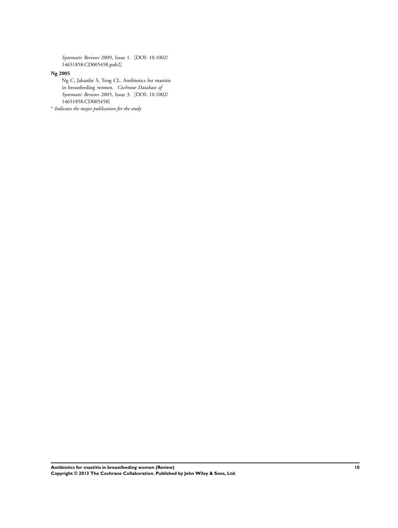*Systematic Reviews* 2009, Issue 1. [DOI: 10.1002/ 14651858.CD005458.pub2]

# **Ng 2005**

Ng C, Jahanfar S, Teng CL. Antibiotics for mastitis in breastfeeding women. *Cochrane Database of Systematic Reviews* 2005, Issue 3. [DOI: 10.1002/ 14651858.CD005458]

∗ *Indicates the major publication for the study*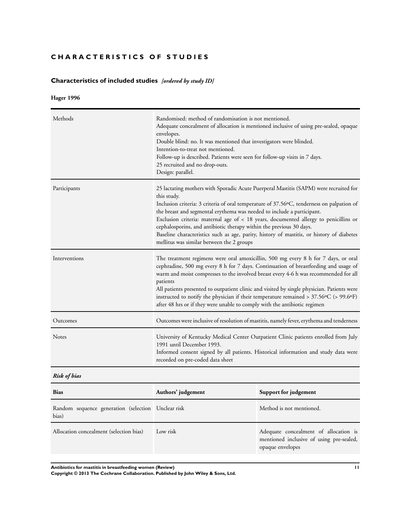# <span id="page-12-0"></span>**CHARACTERISTICS OF STUDIES**

# **Characteristics of included studies** *[ordered by study ID]*

# **Hager 1996**

| Methods       | Randomised: method of randomisation is not mentioned.<br>Adequate concealment of allocation is mentioned inclusive of using pre-sealed, opaque<br>envelopes.<br>Double blind: no. It was mentioned that investigators were blinded.<br>Intention-to-treat not mentioned.<br>Follow-up is described. Patients were seen for follow-up visits in 7 days.<br>25 recruited and no drop-outs.<br>Design: parallel.                                                                                                                                                                        |
|---------------|--------------------------------------------------------------------------------------------------------------------------------------------------------------------------------------------------------------------------------------------------------------------------------------------------------------------------------------------------------------------------------------------------------------------------------------------------------------------------------------------------------------------------------------------------------------------------------------|
| Participants  | 25 lactating mothers with Sporadic Acute Puerperal Mastitis (SAPM) were recruited for<br>this study.<br>Inclusion criteria: 3 criteria of oral temperature of 37.56°C, tenderness on palpation of<br>the breast and segmental erythema was needed to include a participant.<br>Exclusion criteria: maternal age of < 18 years, documented allergy to penicillins or<br>cephalosporins, and antibiotic therapy within the previous 30 days.<br>Baseline characteristics such as age, parity, history of mastitis, or history of diabetes<br>mellitus was similar between the 2 groups |
| Interventions | The treatment regimens were oral amoxicillin, 500 mg every 8 h for 7 days, or oral<br>cephradine, 500 mg every 8 h for 7 days. Continuation of breastfeeding and usage of<br>warm and moist compresses to the involved breast every 4-6 h was recommended for all<br>patients<br>All patients presented to outpatient clinic and visited by single physician. Patients were<br>instructed to notify the physician if their temperature remained > $37.56$ °C (> $99.6$ °F)<br>after 48 hrs or if they were unable to comply with the antibiotic regimen                              |
| Outcomes      | Outcomes were inclusive of resolution of mastitis, namely fever, erythema and tenderness                                                                                                                                                                                                                                                                                                                                                                                                                                                                                             |
| Notes         | University of Kentucky Medical Center Outpatient Clinic patients enrolled from July<br>1991 until December 1993.<br>Informed consent signed by all patients. Historical information and study data were<br>recorded on pre-coded data sheet                                                                                                                                                                                                                                                                                                                                          |

*Risk of bias*

| <b>Bias</b>                                                 | Authors' judgement | Support for judgement                                                                                 |
|-------------------------------------------------------------|--------------------|-------------------------------------------------------------------------------------------------------|
| Random sequence generation (selection Unclear risk<br>bias) |                    | Method is not mentioned.                                                                              |
| Allocation concealment (selection bias)                     | Low risk           | Adequate concealment of allocation is<br>mentioned inclusive of using pre-sealed,<br>opaque envelopes |

**Antibiotics for mastitis in breastfeeding women (Review) 11**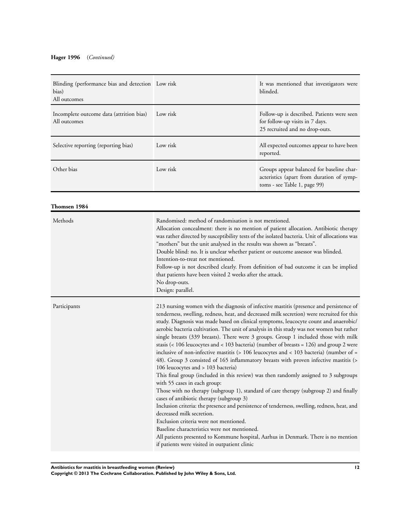# **Hager 1996** (*Continued)*

| Blinding (performance bias and detection Low risk<br>bias)<br>All outcomes |                                                                                                                                                                                                                                                                                                                                                                                                                                                                                                                                                                                                                                               | It was mentioned that investigators were<br>blinded.                                                                                                                                                                                                                                                                                                                                                                                                                                                                                                                                                                                                                                                                                                                                                                                                                                                                                                                                                                                                                                                                    |  |
|----------------------------------------------------------------------------|-----------------------------------------------------------------------------------------------------------------------------------------------------------------------------------------------------------------------------------------------------------------------------------------------------------------------------------------------------------------------------------------------------------------------------------------------------------------------------------------------------------------------------------------------------------------------------------------------------------------------------------------------|-------------------------------------------------------------------------------------------------------------------------------------------------------------------------------------------------------------------------------------------------------------------------------------------------------------------------------------------------------------------------------------------------------------------------------------------------------------------------------------------------------------------------------------------------------------------------------------------------------------------------------------------------------------------------------------------------------------------------------------------------------------------------------------------------------------------------------------------------------------------------------------------------------------------------------------------------------------------------------------------------------------------------------------------------------------------------------------------------------------------------|--|
| Incomplete outcome data (attrition bias)<br>All outcomes                   | Low risk                                                                                                                                                                                                                                                                                                                                                                                                                                                                                                                                                                                                                                      | Follow-up is described. Patients were seen<br>for follow-up visits in 7 days.<br>25 recruited and no drop-outs.                                                                                                                                                                                                                                                                                                                                                                                                                                                                                                                                                                                                                                                                                                                                                                                                                                                                                                                                                                                                         |  |
| Selective reporting (reporting bias)                                       | Low risk                                                                                                                                                                                                                                                                                                                                                                                                                                                                                                                                                                                                                                      | All expected outcomes appear to have been<br>reported.                                                                                                                                                                                                                                                                                                                                                                                                                                                                                                                                                                                                                                                                                                                                                                                                                                                                                                                                                                                                                                                                  |  |
| Other bias                                                                 | Low risk                                                                                                                                                                                                                                                                                                                                                                                                                                                                                                                                                                                                                                      | Groups appear balanced for baseline char-<br>acteristics (apart from duration of symp-<br>toms - see Table 1, page 99)                                                                                                                                                                                                                                                                                                                                                                                                                                                                                                                                                                                                                                                                                                                                                                                                                                                                                                                                                                                                  |  |
| Thomsen 1984                                                               |                                                                                                                                                                                                                                                                                                                                                                                                                                                                                                                                                                                                                                               |                                                                                                                                                                                                                                                                                                                                                                                                                                                                                                                                                                                                                                                                                                                                                                                                                                                                                                                                                                                                                                                                                                                         |  |
| Methods                                                                    | Randomised: method of randomisation is not mentioned.<br>Allocation concealment: there is no mention of patient allocation. Antibiotic therapy<br>was rather directed by susceptibility tests of the isolated bacteria. Unit of allocations was<br>"mothers" but the unit analysed in the results was shown as "breasts".<br>Double blind: no. It is unclear whether patient or outcome assessor was blinded.<br>Intention-to-treat not mentioned.<br>Follow-up is not described clearly. From definition of bad outcome it can be implied<br>that patients have been visited 2 weeks after the attack.<br>No drop-outs.<br>Design: parallel. |                                                                                                                                                                                                                                                                                                                                                                                                                                                                                                                                                                                                                                                                                                                                                                                                                                                                                                                                                                                                                                                                                                                         |  |
| Participants                                                               | 106 leucocytes and > 103 bacteria)<br>with 55 cases in each group:<br>cases of antibiotic therapy (subgroup 3)<br>decreased milk secretion.<br>Exclusion criteria were not mentioned.<br>Baseline characteristics were not mentioned.<br>if patients were visited in outpatient clinic                                                                                                                                                                                                                                                                                                                                                        | 213 nursing women with the diagnosis of infective mastitis (presence and persistence of<br>tenderness, swelling, redness, heat, and decreased milk secretion) were recruited for this<br>study. Diagnosis was made based on clinical symptoms, leucocyte count and anaerobic/<br>aerobic bacteria cultivation. The unit of analysis in this study was not women but rather<br>single breasts (339 breasts). There were 3 groups. Group 1 included those with milk<br>stasis (< 106 leucocytes and < 103 bacteria) (number of breasts = 126) and group 2 were<br>inclusive of non-infective mastitis $(> 106$ leucocytes and < 103 bacteria) (number of =<br>48). Group 3 consisted of 165 inflammatory breasts with proven infective mastitis (><br>This final group (included in this review) was then randomly assigned to 3 subgroups<br>Those with no therapy (subgroup 1), standard of care therapy (subgroup 2) and finally<br>Inclusion criteria: the presence and persistence of tenderness, swelling, redness, heat, and<br>All patients presented to Kommune hospital, Aarhus in Denmark. There is no mention |  |

**Antibiotics for mastitis in breastfeeding women (Review) 12**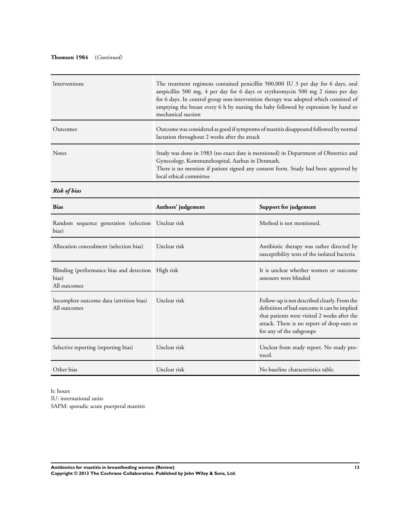# **Thomsen 1984** (*Continued)*

| Interventions   | The treatment regimens contained penicillin 500,000 IU 3 per day for 6 days, oral<br>ampicillin 500 mg, 4 per day for 6 days or erythromycin 500 mg 2 times per day<br>for 6 days. In control group non-intervention therapy was adopted which consisted of<br>emptying the breast every 6 h by nursing the baby followed by expression by hand or<br>mechanical suction |
|-----------------|--------------------------------------------------------------------------------------------------------------------------------------------------------------------------------------------------------------------------------------------------------------------------------------------------------------------------------------------------------------------------|
| <b>Outcomes</b> | Outcome was considered as good if symptoms of mastitis disappeared followed by normal<br>lactation throughout 2 weeks after the attack                                                                                                                                                                                                                                   |
| <b>Notes</b>    | Study was done in 1983 (no exact date is mentioned) in Department of Obstetrics and<br>Gynecology, Kommunehospital, Aarhus in Denmark.<br>There is no mention if patient signed any consent form. Study had been approved by<br>local ethical committee                                                                                                                  |

# *Risk of bias*

| <b>Bias</b>                                                                 | Authors' judgement | Support for judgement                                                                                                                                                                                                 |
|-----------------------------------------------------------------------------|--------------------|-----------------------------------------------------------------------------------------------------------------------------------------------------------------------------------------------------------------------|
| Random sequence generation (selection Unclear risk<br>bias)                 |                    | Method is not mentioned.                                                                                                                                                                                              |
| Allocation concealment (selection bias)                                     | Unclear risk       | Antibiotic therapy was rather directed by<br>susceptibility tests of the isolated bacteria                                                                                                                            |
| Blinding (performance bias and detection High risk<br>bias)<br>All outcomes |                    | It is unclear whether women or outcome<br>assessors were blinded                                                                                                                                                      |
| Incomplete outcome data (attrition bias)<br>All outcomes                    | Unclear risk       | Follow-up is not described clearly. From the<br>definition of bad outcome it can be implied<br>that patients were visited 2 weeks after the<br>attack. There is no report of drop-outs or<br>for any of the subgroups |
| Selective reporting (reporting bias)                                        | Unclear risk       | Unclear from study report. No study pro-<br>tocol.                                                                                                                                                                    |
| Other bias                                                                  | Unclear risk       | No baseline characteristics table.                                                                                                                                                                                    |

h: hours

IU: international units

SAPM: sporadic acute puerperal mastitis

**Antibiotics for mastitis in breastfeeding women (Review) 13 Copyright © 2013 The Cochrane Collaboration. Published by John Wiley & Sons, Ltd.**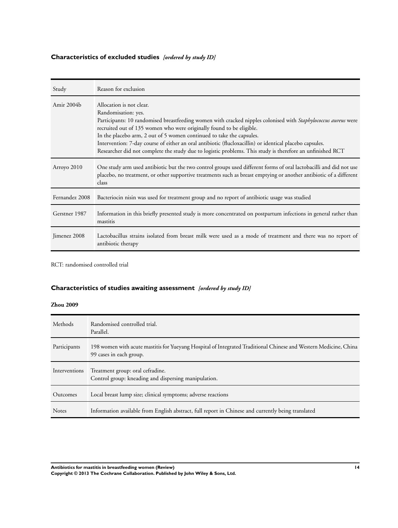# <span id="page-15-0"></span>**Characteristics of excluded studies** *[ordered by study ID]*

| Study          | Reason for exclusion                                                                                                                                                                                                                                                                                                                                                                                                                                                                                                                      |
|----------------|-------------------------------------------------------------------------------------------------------------------------------------------------------------------------------------------------------------------------------------------------------------------------------------------------------------------------------------------------------------------------------------------------------------------------------------------------------------------------------------------------------------------------------------------|
| Amir 2004b     | Allocation is not clear.<br>Randomisation: yes.<br>Participants: 10 randomised breastfeeding women with cracked nipples colonised with Staphylococcus aureus were<br>recruited out of 135 women who were originally found to be eligible.<br>In the placebo arm, 2 out of 5 women continued to take the capsules.<br>Intervention: 7-day course of either an oral antibiotic (flucloxacillin) or identical placebo capsules.<br>Researcher did not complete the study due to logistic problems. This study is therefore an unfinished RCT |
| Arroyo 2010    | One study arm used antibiotic but the two control groups used different forms of oral lactobacilli and did not use<br>placebo, no treatment, or other supportive treatments such as breast emptying or another antibiotic of a different<br>class                                                                                                                                                                                                                                                                                         |
| Fernandez 2008 | Bacteriocin nisin was used for treatment group and no report of antibiotic usage was studied                                                                                                                                                                                                                                                                                                                                                                                                                                              |
| Gerstner 1987  | Information in this briefly presented study is more concentrated on postpartum infections in general rather than<br>mastitis                                                                                                                                                                                                                                                                                                                                                                                                              |
| Jimenez 2008   | Lactobacillus strains isolated from breast milk were used as a mode of treatment and there was no report of<br>antibiotic therapy                                                                                                                                                                                                                                                                                                                                                                                                         |

RCT: randomised controlled trial

# **Characteristics of studies awaiting assessment** *[ordered by study ID]*

**Zhou 2009**

| Methods       | Randomised controlled trial.<br>Parallel.                                                                                                   |
|---------------|---------------------------------------------------------------------------------------------------------------------------------------------|
| Participants  | 198 women with acute mastitis for Yueyang Hospital of Integrated Traditional Chinese and Western Medicine, China<br>99 cases in each group. |
| Interventions | Treatment group: oral cefradine.<br>Control group: kneading and dispersing manipulation.                                                    |
| Outcomes      | Local breast lump size; clinical symptoms; adverse reactions                                                                                |
| <b>Notes</b>  | Information available from English abstract, full report in Chinese and currently being translated                                          |

**Antibiotics for mastitis in breastfeeding women (Review) 14**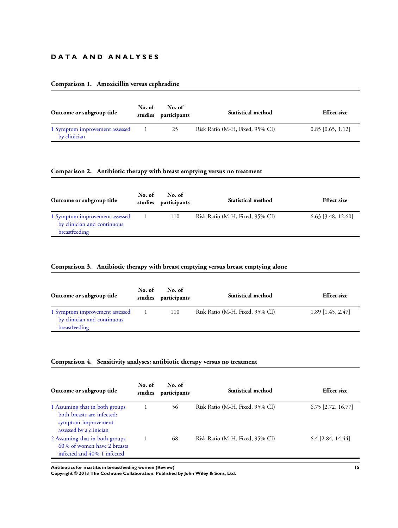# **D A T A A N D A N A L Y S E S**

# **Comparison 1. Amoxicillin versus cephradine**

| Outcome or subgroup title      | No. of | No. of<br>studies participants | <b>Statistical method</b>       | <b>Effect</b> size  |
|--------------------------------|--------|--------------------------------|---------------------------------|---------------------|
| 1 Symptom improvement assessed |        | 25                             | Risk Ratio (M-H, Fixed, 95% CI) | $0.85$ [0.65, 1.12] |
| by clinician                   |        |                                |                                 |                     |

# **Comparison 2. Antibiotic therapy with breast emptying versus no treatment**

| Outcome or subgroup title                                                      | No. of<br>studies | No. of<br>participants | <b>Statistical method</b>       | <b>Effect</b> size   |
|--------------------------------------------------------------------------------|-------------------|------------------------|---------------------------------|----------------------|
| 1 Symptom improvement assessed<br>by clinician and continuous<br>breastfeeding |                   | 110                    | Risk Ratio (M-H, Fixed, 95% CI) | $6.63$ [3.48, 12.60] |

# **Comparison 3. Antibiotic therapy with breast emptying versus breast emptying alone**

| Outcome or subgroup title                                                      | No. of<br>studies | No. of<br>participants | <b>Statistical method</b>       | <b>Effect</b> size |
|--------------------------------------------------------------------------------|-------------------|------------------------|---------------------------------|--------------------|
| 1 Symptom improvement assessed<br>by clinician and continuous<br>breastfeeding |                   | 110                    | Risk Ratio (M-H, Fixed, 95% CI) | 1.89 [1.45, 2.47]  |

# **Comparison 4. Sensitivity analyses: antibiotic therapy versus no treatment**

| Outcome or subgroup title                                                                                      | No. of<br>studies | No. of<br>participants | Statistical method              | <b>Effect size</b>   |
|----------------------------------------------------------------------------------------------------------------|-------------------|------------------------|---------------------------------|----------------------|
| 1 Assuming that in both groups<br>both breasts are infected:<br>symptom improvement<br>assessed by a clinician |                   | 56                     | Risk Ratio (M-H, Fixed, 95% CI) | $6.75$ [2.72, 16.77] |
| 2 Assuming that in both groups<br>60% of women have 2 breasts<br>infected and 40% 1 infected                   |                   | 68                     | Risk Ratio (M-H, Fixed, 95% CI) | $6.4$ [2.84, 14.44]  |

**Antibiotics for mastitis in breastfeeding women (Review) 15**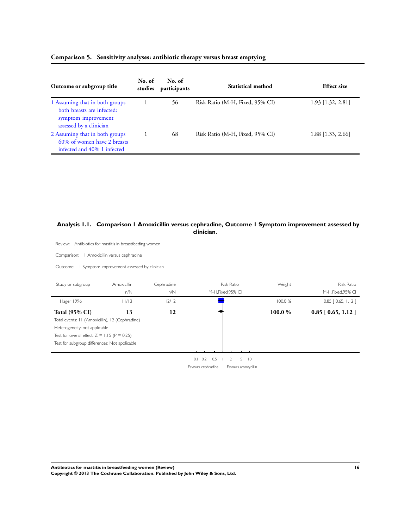# <span id="page-17-0"></span>**Comparison 5. Sensitivity analyses: antibiotic therapy versus breast emptying**

| Outcome or subgroup title                                                                                      | No. of<br>studies | No. of<br>participants | Statistical method              | <b>Effect</b> size  |
|----------------------------------------------------------------------------------------------------------------|-------------------|------------------------|---------------------------------|---------------------|
| 1 Assuming that in both groups<br>both breasts are infected:<br>symptom improvement<br>assessed by a clinician |                   | 56                     | Risk Ratio (M-H, Fixed, 95% CI) | $1.93$ [1.32, 2.81] |
| 2 Assuming that in both groups<br>60% of women have 2 breasts<br>infected and 40% 1 infected                   |                   | 68                     | Risk Ratio (M-H, Fixed, 95% CI) | 1.88 [1.33, 2.66]   |

# **Analysis 1.1. Comparison 1 Amoxicillin versus cephradine, Outcome 1 Symptom improvement assessed by clinician.**

Review: Antibiotics for mastitis in breastfeeding women

Comparison: 1 Amoxicillin versus cephradine

Outcome: 1 Symptom improvement assessed by clinician

| Study or subgroup                               | Amoxicillin | Cephradine |                    | Risk Ratio                             | Weight  | Risk Ratio                 |
|-------------------------------------------------|-------------|------------|--------------------|----------------------------------------|---------|----------------------------|
|                                                 | $n/N$       | $n/N$      |                    | M-H, Fixed, 95% CI                     |         | M-H, Fixed, 95% CI         |
| Hager 1996                                      | 11/13       | $12/12$    |                    |                                        | 100.0 % | $0.85$ $[0.65, 1.12]$      |
| <b>Total (95% CI)</b>                           | 13          | 12         |                    |                                        | 100.0%  | $0.85$ [ $0.65$ , $1.12$ ] |
| Total events: 11 (Amoxicillin), 12 (Cephradine) |             |            |                    |                                        |         |                            |
| Heterogeneity: not applicable                   |             |            |                    |                                        |         |                            |
| Test for overall effect: $Z = 1.15$ (P = 0.25)  |             |            |                    |                                        |         |                            |
| Test for subgroup differences: Not applicable   |             |            |                    |                                        |         |                            |
|                                                 |             |            |                    |                                        |         |                            |
|                                                 |             |            | $0.1$ $0.2$ $0.5$  | 5<br>$\overline{10}$<br>$\overline{2}$ |         |                            |
|                                                 |             |            | Favours cephradine | Favours amoxycillin                    |         |                            |
|                                                 |             |            |                    |                                        |         |                            |
|                                                 |             |            |                    |                                        |         |                            |
|                                                 |             |            |                    |                                        |         |                            |
|                                                 |             |            |                    |                                        |         |                            |
|                                                 |             |            |                    |                                        |         |                            |
|                                                 |             |            |                    |                                        |         |                            |
|                                                 |             |            |                    |                                        |         |                            |
|                                                 |             |            |                    |                                        |         |                            |
|                                                 |             |            |                    |                                        |         |                            |
|                                                 |             |            |                    |                                        |         |                            |
|                                                 |             |            |                    |                                        |         |                            |
|                                                 |             |            |                    |                                        |         |                            |

**Antibiotics for mastitis in breastfeeding women (Review) 16**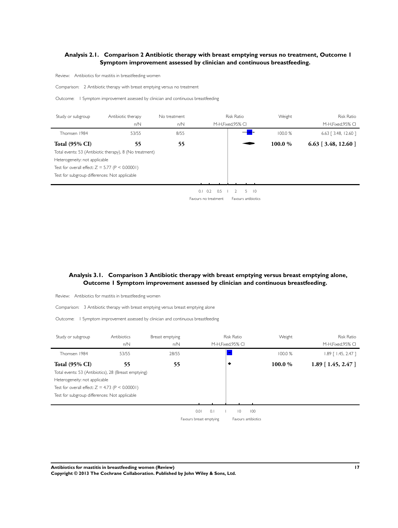# <span id="page-18-0"></span>**Analysis 2.1. Comparison 2 Antibiotic therapy with breast emptying versus no treatment, Outcome 1 Symptom improvement assessed by clinician and continuous breastfeeding.**

Review: Antibiotics for mastitis in breastfeeding women

Comparison: 2 Antibiotic therapy with breast emptying versus no treatment

Outcome: 1 Symptom improvement assessed by clinician and continuous breastfeeding

| Study or subgroup                                 | Antibiotic therapy                                      | No treatment |                      | <b>Risk Ratio</b>                    | Weight  | <b>Risk Ratio</b>      |
|---------------------------------------------------|---------------------------------------------------------|--------------|----------------------|--------------------------------------|---------|------------------------|
|                                                   | n/N                                                     | n/N          |                      | M-H, Fixed, 95% CI                   |         | M-H, Fixed, 95% CI     |
| Thomsen 1984                                      | 53/55                                                   | 8/55         |                      |                                      | 100.0 % | $6.63$ [ 3.48, 12.60 ] |
| <b>Total (95% CI)</b>                             | 55                                                      | 55           |                      |                                      | 100.0%  | $6.63$ [ 3.48, 12.60 ] |
|                                                   | Total events: 53 (Antibiotic therapy), 8 (No treatment) |              |                      |                                      |         |                        |
| Heterogeneity: not applicable                     |                                                         |              |                      |                                      |         |                        |
| Test for overall effect: $Z = 5.77$ (P < 0.00001) |                                                         |              |                      |                                      |         |                        |
| Test for subgroup differences: Not applicable     |                                                         |              |                      |                                      |         |                        |
|                                                   |                                                         |              |                      |                                      |         |                        |
|                                                   |                                                         |              | 0.2<br>0.5<br>0.1    | 5<br>$\overline{10}$<br>$\mathbf{2}$ |         |                        |
|                                                   |                                                         |              | Favours no treatment | Favours antibiotics                  |         |                        |
|                                                   |                                                         |              |                      |                                      |         |                        |

# **Analysis 3.1. Comparison 3 Antibiotic therapy with breast emptying versus breast emptying alone, Outcome 1 Symptom improvement assessed by clinician and continuous breastfeeding.**

Review: Antibiotics for mastitis in breastfeeding women

Comparison: 3 Antibiotic therapy with breast emptying versus breast emptying alone

Outcome: 1 Symptom improvement assessed by clinician and continuous breastfeeding

| Study or subgroup                                        | Antibiotics | Breast emptying | <b>Risk Ratio</b>                              | Weight  | Risk Ratio              |
|----------------------------------------------------------|-------------|-----------------|------------------------------------------------|---------|-------------------------|
|                                                          | n/N         | n/N             | M-H, Fixed, 95% CI                             |         | M-H, Fixed, 95% CI      |
| Thomsen 1984                                             | 53/55       | 28/55           |                                                | 100.0 % | $1.89$ $[$ 1.45, 2.47 ] |
| <b>Total (95% CI)</b>                                    | 55          | 55              |                                                | 100.0%  | $1.89$ [ $1.45, 2.47$ ] |
| Total events: 53 (Antibiotics), 28 (Breast emptying)     |             |                 |                                                |         |                         |
| Heterogeneity: not applicable                            |             |                 |                                                |         |                         |
| Test for overall effect: $Z = 4.73$ (P < 0.00001)        |             |                 |                                                |         |                         |
| Test for subgroup differences: Not applicable            |             |                 |                                                |         |                         |
|                                                          |             |                 |                                                |         |                         |
|                                                          |             |                 | 0.1<br>$\overline{0}$<br>100<br>0.01           |         |                         |
|                                                          |             |                 | Favours antibiotics<br>Favours breast emptying |         |                         |
|                                                          |             |                 |                                                |         |                         |
|                                                          |             |                 |                                                |         |                         |
|                                                          |             |                 |                                                |         |                         |
|                                                          |             |                 |                                                |         |                         |
|                                                          |             |                 |                                                |         |                         |
| Antibiotics for mastitis in breastfeeding women (Review) |             |                 |                                                |         | 17                      |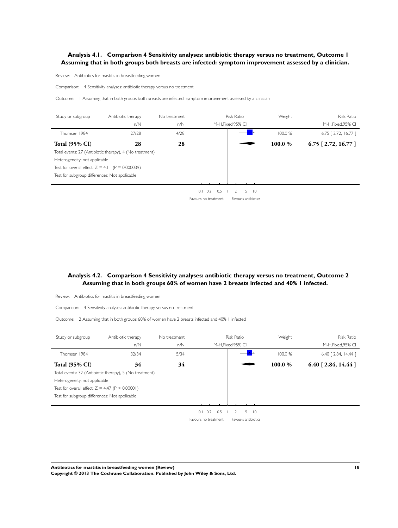# <span id="page-19-0"></span>**Analysis 4.1. Comparison 4 Sensitivity analyses: antibiotic therapy versus no treatment, Outcome 1 Assuming that in both groups both breasts are infected: symptom improvement assessed by a clinician.**

Review: Antibiotics for mastitis in breastfeeding women

Comparison: 4 Sensitivity analyses: antibiotic therapy versus no treatment

Outcome: 1 Assuming that in both groups both breasts are infected: symptom improvement assessed by a clinician

| Study or subgroup                                  | Antibiotic therapy<br>n/N                               | No treatment<br>n/N |                      | <b>Risk Ratio</b><br>M-H, Fixed, 95% CI | Weight  | <b>Risk Ratio</b><br>M-H, Fixed, 95% CI |
|----------------------------------------------------|---------------------------------------------------------|---------------------|----------------------|-----------------------------------------|---------|-----------------------------------------|
| Thomsen 1984                                       | 27/28                                                   | 4/28                |                      |                                         | 100.0 % | 6.75 [ 2.72, 16.77 ]                    |
| <b>Total (95% CI)</b>                              | 28                                                      | 28                  |                      |                                         | 100.0%  | $6.75$ [ 2.72, 16.77 ]                  |
|                                                    | Total events: 27 (Antibiotic therapy), 4 (No treatment) |                     |                      |                                         |         |                                         |
| Heterogeneity: not applicable                      |                                                         |                     |                      |                                         |         |                                         |
| Test for overall effect: $Z = 4.11$ (P = 0.000039) |                                                         |                     |                      |                                         |         |                                         |
| Test for subgroup differences: Not applicable      |                                                         |                     |                      |                                         |         |                                         |
|                                                    |                                                         |                     |                      |                                         |         |                                         |
|                                                    |                                                         |                     | 0.2<br>0.5<br>0.1    | 5<br>$\overline{0}$<br>$\mathcal{L}$    |         |                                         |
|                                                    |                                                         |                     | Favours no treatment | Favours antibiotics                     |         |                                         |
|                                                    |                                                         |                     |                      |                                         |         |                                         |
|                                                    |                                                         |                     |                      |                                         |         |                                         |

## **Analysis 4.2. Comparison 4 Sensitivity analyses: antibiotic therapy versus no treatment, Outcome 2 Assuming that in both groups 60% of women have 2 breasts infected and 40% 1 infected.**

Review: Antibiotics for mastitis in breastfeeding women

Comparison: 4 Sensitivity analyses: antibiotic therapy versus no treatment

Outcome: 2 Assuming that in both groups 60% of women have 2 breasts infected and 40% 1 infected

| Study or subgroup                                 | Antibiotic therapy<br>n/N                               | No treatment<br>n/N |                      | <b>Risk Ratio</b><br>M-H, Fixed, 95% CI | Weight  | <b>Risk Ratio</b><br>M-H, Fixed, 95% CI |
|---------------------------------------------------|---------------------------------------------------------|---------------------|----------------------|-----------------------------------------|---------|-----------------------------------------|
| Thomsen 1984                                      | 32/34                                                   | 5/34                |                      |                                         | 100.0 % | 6.40 [2.84, 14.44]                      |
| <b>Total (95% CI)</b>                             | 34                                                      | 34                  |                      |                                         | 100.0%  | $6.40$ [ 2.84, 14.44 ]                  |
|                                                   | Total events: 32 (Antibiotic therapy), 5 (No treatment) |                     |                      |                                         |         |                                         |
| Heterogeneity: not applicable                     |                                                         |                     |                      |                                         |         |                                         |
| Test for overall effect: $Z = 4.47$ (P < 0.00001) |                                                         |                     |                      |                                         |         |                                         |
| Test for subgroup differences: Not applicable     |                                                         |                     |                      |                                         |         |                                         |
|                                                   |                                                         |                     |                      |                                         |         |                                         |
|                                                   |                                                         |                     | $0.1$ $0.2$ $0.5$    | $5 \quad 10$<br>$\mathcal{P}$           |         |                                         |
|                                                   |                                                         |                     | Favours no treatment | Favours antibiotics                     |         |                                         |
|                                                   |                                                         |                     |                      |                                         |         |                                         |
|                                                   |                                                         |                     |                      |                                         |         |                                         |

**Antibiotics for mastitis in breastfeeding women (Review) 18**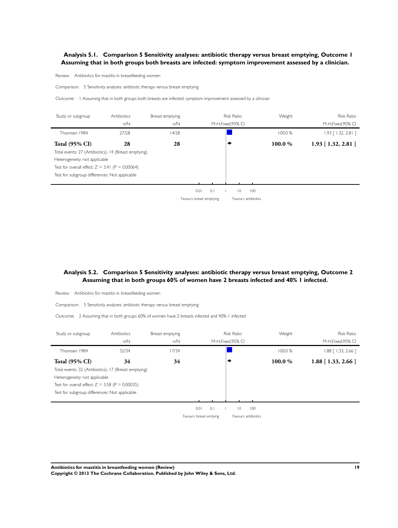# <span id="page-20-0"></span>**Analysis 5.1. Comparison 5 Sensitivity analyses: antibiotic therapy versus breast emptying, Outcome 1 Assuming that in both groups both breasts are infected: symptom improvement assessed by a clinician.**

Review: Antibiotics for mastitis in breastfeeding women

Comparison: 5 Sensitivity analyses: antibiotic therapy versus breast emptying

Outcome: 1 Assuming that in both groups both breasts are infected: symptom improvement assessed by a clinician

| Study or subgroup                                    | Antibiotics<br>n/N | Breast emptying<br>n/N |                         |     | <b>Risk Ratio</b><br>M-H, Fixed, 95% CI |                     | Weight | <b>Risk Ratio</b><br>M-H, Fixed, 95% CI |
|------------------------------------------------------|--------------------|------------------------|-------------------------|-----|-----------------------------------------|---------------------|--------|-----------------------------------------|
| Thomsen 1984                                         | 27/28              | 14/28                  |                         |     |                                         |                     | 100.0% | $1.93$ $[1.32, 2.81]$                   |
| <b>Total (95% CI)</b>                                | 28                 | 28                     |                         |     |                                         |                     | 100.0% | $1.93$ [ 1.32, 2.81 ]                   |
| Total events: 27 (Antibiotics), 14 (Breast emptying) |                    |                        |                         |     |                                         |                     |        |                                         |
| Heterogeneity: not applicable                        |                    |                        |                         |     |                                         |                     |        |                                         |
| Test for overall effect: $Z = 3.41$ (P = 0.00064)    |                    |                        |                         |     |                                         |                     |        |                                         |
| Test for subgroup differences: Not applicable        |                    |                        |                         |     |                                         |                     |        |                                         |
|                                                      |                    |                        |                         |     |                                         |                     |        |                                         |
|                                                      |                    |                        | 0.01                    | 0.1 | $ 0\rangle$                             | 100                 |        |                                         |
|                                                      |                    |                        | Favours breast emptying |     |                                         | Favours antibiotics |        |                                         |
|                                                      |                    |                        |                         |     |                                         |                     |        |                                         |

# **Analysis 5.2. Comparison 5 Sensitivity analyses: antibiotic therapy versus breast emptying, Outcome 2 Assuming that in both groups 60% of women have 2 breasts infected and 40% 1 infected.**

Review: Antibiotics for mastitis in breastfeeding women

Comparison: 5 Sensitivity analyses: antibiotic therapy versus breast emptying

Outcome: 2 Assuming that in both groups 60% of women have 2 breasts infected and 40% 1 infected

| Study or subgroup                                    | Antibiotics<br>n/N | Breast emptying<br>n/N |                        |     | <b>Risk Ratio</b><br>M-H, Fixed, 95% CI |                     | Weight  | <b>Risk Ratio</b><br>M-H, Fixed, 95% CI |
|------------------------------------------------------|--------------------|------------------------|------------------------|-----|-----------------------------------------|---------------------|---------|-----------------------------------------|
| Thomsen 1984                                         | 32/34              | 17/34                  |                        |     |                                         |                     | 100.0 % | 1.88 [ 1.33, 2.66 ]                     |
| <b>Total (95% CI)</b>                                | 34                 | 34                     |                        |     |                                         |                     | 100.0%  | $1.88$ [ 1.33, 2.66 ]                   |
| Total events: 32 (Antibiotics), 17 (Breast emptying) |                    |                        |                        |     |                                         |                     |         |                                         |
| Heterogeneity: not applicable                        |                    |                        |                        |     |                                         |                     |         |                                         |
| Test for overall effect: $Z = 3.58$ (P = 0.00035)    |                    |                        |                        |     |                                         |                     |         |                                         |
| Test for subgroup differences: Not applicable        |                    |                        |                        |     |                                         |                     |         |                                         |
|                                                      |                    |                        |                        |     |                                         |                     |         |                                         |
|                                                      |                    |                        | 0.01                   | 0.1 | $\overline{0}$                          | 100                 |         |                                         |
|                                                      |                    |                        | Favours breast emtying |     |                                         | Favours antibiotics |         |                                         |
|                                                      |                    |                        |                        |     |                                         |                     |         |                                         |

**Antibiotics for mastitis in breastfeeding women (Review) 19**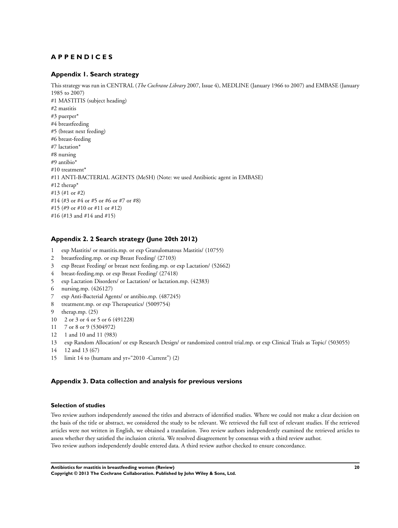# <span id="page-21-0"></span>**A P P E N D I C E S**

# **Appendix 1. Search strategy**

This strategy was run in CENTRAL (*The Cochrane Library* 2007, Issue 4), MEDLINE (January 1966 to 2007) and EMBASE (January 1985 to 2007) #1 MASTITIS (subject heading) #2 mastitis #3 puerper\* #4 breastfeeding #5 (breast next feeding) #6 breast-feeding #7 lactation\* #8 nursing #9 antibio\* #10 treatment\* #11 ANTI-BACTERIAL AGENTS (MeSH) (Note: we used Antibiotic agent in EMBASE) #12 therap\* #13 (#1 or #2) #14 (#3 or #4 or #5 or #6 or #7 or #8) #15 (#9 or #10 or #11 or #12) #16 (#13 and #14 and #15)

# **Appendix 2. 2 Search strategy (June 20th 2012)**

- 1 exp Mastitis/ or mastitis.mp. or exp Granulomatous Mastitis/ (10755)
- 2 breastfeeding.mp. or exp Breast Feeding/ (27103)
- 3 exp Breast Feeding/ or breast next feeding.mp. or exp Lactation/ (52662)
- 4 breast-feeding.mp. or exp Breast Feeding/ (27418)
- 5 exp Lactation Disorders/ or Lactation/ or lactation.mp. (42383)
- 6 nursing.mp. (426127)
- 7 exp Anti-Bacterial Agents/ or antibio.mp. (487245)
- 8 treatment.mp. or exp Therapeutics/ (5009754)
- 9 therap.mp. (25)
- 10 2 or 3 or 4 or 5 or 6 (491228)
- 11 7 or 8 or 9 (5304972)
- 12 1 and 10 and 11 (983)
- 13 exp Random Allocation/ or exp Research Design/ or randomized control trial.mp. or exp Clinical Trials as Topic/ (503055)
- 14 12 and 13 (67)
- 15 limit 14 to (humans and yr="2010 -Current") (2)

# **Appendix 3. Data collection and analysis for previous versions**

## **Selection of studies**

Two review authors independently assessed the titles and abstracts of identified studies. Where we could not make a clear decision on the basis of the title or abstract, we considered the study to be relevant. We retrieved the full text of relevant studies. If the retrieved articles were not written in English, we obtained a translation. Two review authors independently examined the retrieved articles to assess whether they satisfied the inclusion criteria. We resolved disagreement by consensus with a third review author. Two review authors independently double entered data. A third review author checked to ensure concordance.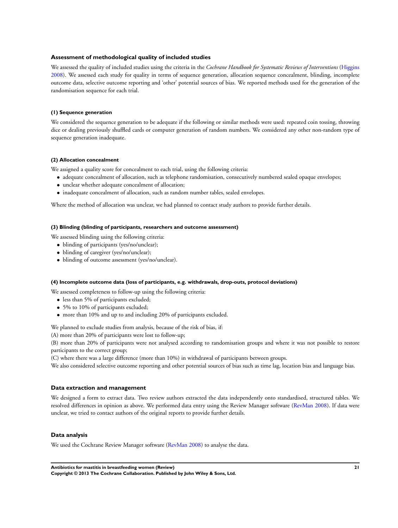### **Assessment of methodological quality of included studies**

We assessed the quality of included studies using the criteria in the *Cochrane Handbook for Systematic Reviews of Interventions* ([Higgins](#page-9-0) [2008](#page-9-0)). We assessed each study for quality in terms of sequence generation, allocation sequence concealment, blinding, incomplete outcome data, selective outcome reporting and 'other' potential sources of bias. We reported methods used for the generation of the randomisation sequence for each trial.

### **(1) Sequence generation**

We considered the sequence generation to be adequate if the following or similar methods were used: repeated coin tossing, throwing dice or dealing previously shuffled cards or computer generation of random numbers. We considered any other non-random type of sequence generation inadequate.

#### **(2) Allocation concealment**

We assigned a quality score for concealment to each trial, using the following criteria:

- adequate concealment of allocation, such as telephone randomisation, consecutively numbered sealed opaque envelopes;
- unclear whether adequate concealment of allocation;
- inadequate concealment of allocation, such as random number tables, sealed envelopes.

Where the method of allocation was unclear, we had planned to contact study authors to provide further details.

### **(3) Blinding (blinding of participants, researchers and outcome assessment)**

We assessed blinding using the following criteria:

- blinding of participants (yes/no/unclear);
- blinding of caregiver (yes/no/unclear);
- blinding of outcome assessment (yes/no/unclear).

#### **(4) Incomplete outcome data (loss of participants, e.g. withdrawals, drop-outs, protocol deviations)**

We assessed completeness to follow-up using the following criteria:

- less than 5% of participants excluded;
- 5% to 10% of participants excluded;
- more than 10% and up to and including 20% of participants excluded.

We planned to exclude studies from analysis, because of the risk of bias, if:

(A) more than 20% of participants were lost to follow-up;

(B) more than 20% of participants were not analysed according to randomisation groups and where it was not possible to restore participants to the correct group;

(C) where there was a large difference (more than 10%) in withdrawal of participants between groups.

We also considered selective outcome reporting and other potential sources of bias such as time lag, location bias and language bias.

## **Data extraction and management**

We designed a form to extract data. Two review authors extracted the data independently onto standardised, structured tables. We resolved differences in opinion as above. We performed data entry using the Review Manager software [\(RevMan 2008](#page-9-0)). If data were unclear, we tried to contact authors of the original reports to provide further details.

# **Data analysis**

We used the Cochrane Review Manager software [\(RevMan 2008\)](#page-9-0) to analyse the data.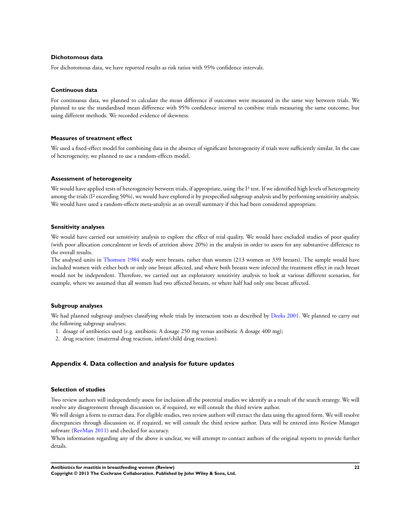#### <span id="page-23-0"></span>**Dichotomous data**

For dichotomous data, we have reported results as risk ratios with 95% confidence intervals.

#### **Continuous data**

For continuous data, we planned to calculate the mean difference if outcomes were measured in the same way between trials. We planned to use the standardised mean difference with 95% confidence interval to combine trials measuring the same outcome, but using different methods. We recorded evidence of skewness.

# **Measures of treatment effect**

We used a fixed-effect model for combining data in the absence of significant heterogeneity if trials were sufficiently similar. In the case of heterogeneity, we planned to use a random-effects model.

#### **Assessment of heterogeneity**

We would have applied tests of heterogeneity between trials, if appropriate, using the I² test. If we identified high levels of heterogeneity among the trials (I² exceeding 50%), we would have explored it by prespecified subgroup analysis and by performing sensitivity analysis. We would have used a random-effects meta-analysis as an overall summary if this had been considered appropriate.

#### **Sensitivity analyses**

We would have carried out sensitivity analysis to explore the effect of trial quality. We would have excluded studies of poor quality (with poor allocation concealment or levels of attrition above 20%) in the analysis in order to assess for any substantive difference to the overall results.

The analysed units in [Thomsen 1984](#page-9-0) study were breasts, rather than women (213 women or 339 breasts). The sample would have included women with either both or only one breast affected, and where both breasts were infected the treatment effect in each breast would not be independent. Therefore, we carried out an exploratory sensitivity analysis to look at various different scenarios, for example, where we assumed that all women had two affected breasts, or where half had only one breast affected.

#### **Subgroup analyses**

We had planned subgroup analyses classifying whole trials by interaction tests as described by [Deeks 2001](#page-9-0). We planned to carry out the following subgroup analyses:

- 1. dosage of antibiotics used (e.g. antibiotic A dosage 250 mg versus antibiotic A dosage 400 mg);
- 2. drug reaction: (maternal drug reaction, infant/child drug reaction).

### **Appendix 4. Data collection and analysis for future updates**

### **Selection of studies**

Two review authors will independently assess for inclusion all the potential studies we identify as a result of the search strategy. We will resolve any disagreement through discussion or, if required, we will consult the third review author.

We will design a form to extract data. For eligible studies, two review authors will extract the data using the agreed form. We will resolve discrepancies through discussion or, if required, we will consult the third review author. Data will be entered into Review Manager software [\(RevMan 2011\)](#page-9-0) and checked for accuracy.

When information regarding any of the above is unclear, we will attempt to contact authors of the original reports to provide further details.

**Antibiotics for mastitis in breastfeeding women (Review) 22**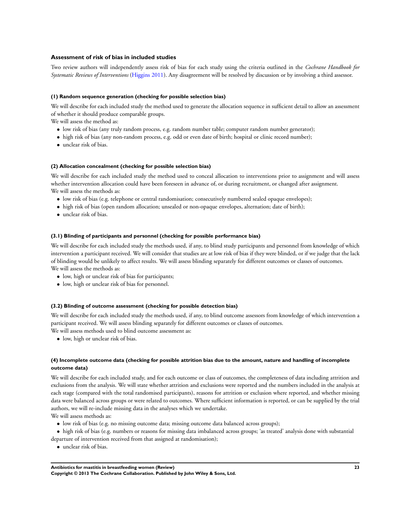### **Assessment of risk of bias in included studies**

Two review authors will independently assess risk of bias for each study using the criteria outlined in the *Cochrane Handbook for Systematic Reviews of Interventions* [\(Higgins 2011\)](#page-9-0). Any disagreement will be resolved by discussion or by involving a third assessor.

# **(1) Random sequence generation (checking for possible selection bias)**

We will describe for each included study the method used to generate the allocation sequence in sufficient detail to allow an assessment of whether it should produce comparable groups.

We will assess the method as:

- low risk of bias (any truly random process, e.g. random number table; computer random number generator);
- high risk of bias (any non-random process, e.g. odd or even date of birth; hospital or clinic record number);
- unclear risk of bias.

#### **(2) Allocation concealment (checking for possible selection bias)**

We will describe for each included study the method used to conceal allocation to interventions prior to assignment and will assess whether intervention allocation could have been foreseen in advance of, or during recruitment, or changed after assignment. We will assess the methods as:

- low risk of bias (e.g. telephone or central randomisation; consecutively numbered sealed opaque envelopes);
- high risk of bias (open random allocation; unsealed or non-opaque envelopes, alternation; date of birth);
- unclear risk of bias.

### **(3.1) Blinding of participants and personnel (checking for possible performance bias)**

We will describe for each included study the methods used, if any, to blind study participants and personnel from knowledge of which intervention a participant received. We will consider that studies are at low risk of bias if they were blinded, or if we judge that the lack of blinding would be unlikely to affect results. We will assess blinding separately for different outcomes or classes of outcomes. We will assess the methods as:

- low, high or unclear risk of bias for participants;
- low, high or unclear risk of bias for personnel.

### **(3.2) Blinding of outcome assessment (checking for possible detection bias)**

We will describe for each included study the methods used, if any, to blind outcome assessors from knowledge of which intervention a participant received. We will assess blinding separately for different outcomes or classes of outcomes.

We will assess methods used to blind outcome assessment as:

• low, high or unclear risk of bias.

### **(4) Incomplete outcome data (checking for possible attrition bias due to the amount, nature and handling of incomplete outcome data)**

We will describe for each included study, and for each outcome or class of outcomes, the completeness of data including attrition and exclusions from the analysis. We will state whether attrition and exclusions were reported and the numbers included in the analysis at each stage (compared with the total randomised participants), reasons for attrition or exclusion where reported, and whether missing data were balanced across groups or were related to outcomes. Where sufficient information is reported, or can be supplied by the trial authors, we will re-include missing data in the analyses which we undertake.

We will assess methods as:

- low risk of bias (e.g. no missing outcome data; missing outcome data balanced across groups);
- high risk of bias (e.g. numbers or reasons for missing data imbalanced across groups; 'as treated' analysis done with substantial
- departure of intervention received from that assigned at randomisation);
	- unclear risk of bias.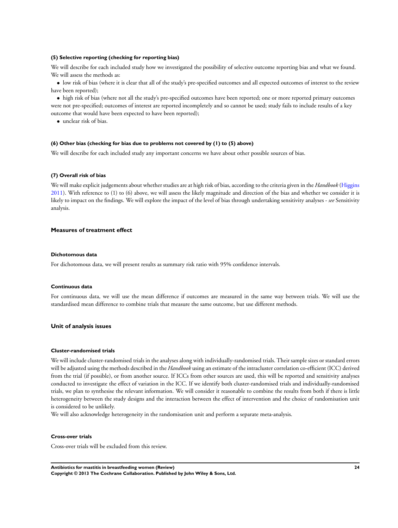#### **(5) Selective reporting (checking for reporting bias)**

We will describe for each included study how we investigated the possibility of selective outcome reporting bias and what we found. We will assess the methods as:

• low risk of bias (where it is clear that all of the study's pre-specified outcomes and all expected outcomes of interest to the review have been reported);

• high risk of bias (where not all the study's pre-specified outcomes have been reported; one or more reported primary outcomes were not pre-specified; outcomes of interest are reported incompletely and so cannot be used; study fails to include results of a key outcome that would have been expected to have been reported);

• unclear risk of bias.

#### **(6) Other bias (checking for bias due to problems not covered by (1) to (5) above)**

We will describe for each included study any important concerns we have about other possible sources of bias.

#### **(7) Overall risk of bias**

We will make explicit judgements about whether studies are at high risk of bias, according to the criteria given in the *Handbook* ([Higgins](#page-9-0) [2011](#page-9-0)). With reference to (1) to (6) above, we will assess the likely magnitude and direction of the bias and whether we consider it is likely to impact on the findings. We will explore the impact of the level of bias through undertaking sensitivity analyses - *see* Sensitivity analysis.

#### **Measures of treatment effect**

#### **Dichotomous data**

For dichotomous data, we will present results as summary risk ratio with 95% confidence intervals.

### **Continuous data**

For continuous data, we will use the mean difference if outcomes are measured in the same way between trials. We will use the standardised mean difference to combine trials that measure the same outcome, but use different methods.

#### **Unit of analysis issues**

#### **Cluster-randomised trials**

We will include cluster-randomised trials in the analyses along with individually-randomised trials. Their sample sizes or standard errors will be adjusted using the methods described in the *Handbook* using an estimate of the intracluster correlation co-efficient (ICC) derived from the trial (if possible), or from another source. If ICCs from other sources are used, this will be reported and sensitivity analyses conducted to investigate the effect of variation in the ICC. If we identify both cluster-randomised trials and individually-randomised trials, we plan to synthesise the relevant information. We will consider it reasonable to combine the results from both if there is little heterogeneity between the study designs and the interaction between the effect of intervention and the choice of randomisation unit is considered to be unlikely.

We will also acknowledge heterogeneity in the randomisation unit and perform a separate meta-analysis.

#### **Cross-over trials**

Cross-over trials will be excluded from this review.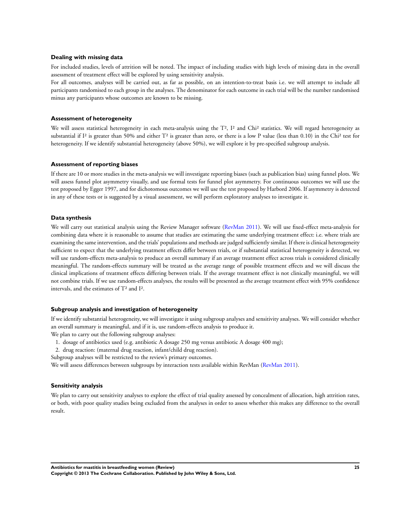#### **Dealing with missing data**

For included studies, levels of attrition will be noted. The impact of including studies with high levels of missing data in the overall assessment of treatment effect will be explored by using sensitivity analysis.

For all outcomes, analyses will be carried out, as far as possible, on an intention-to-treat basis i.e. we will attempt to include all participants randomised to each group in the analyses. The denominator for each outcome in each trial will be the number randomised minus any participants whose outcomes are known to be missing.

#### **Assessment of heterogeneity**

We will assess statistical heterogeneity in each meta-analysis using the T<sup>2</sup>, I<sup>2</sup> and Chi<sup>2</sup> statistics. We will regard heterogeneity as substantial if I<sup>2</sup> is greater than 50% and either  $T^2$  is greater than zero, or there is a low P value (less than 0.10) in the Chi<sup>2</sup> test for heterogeneity. If we identify substantial heterogeneity (above 50%), we will explore it by pre-specified subgroup analysis.

#### **Assessment of reporting biases**

If there are 10 or more studies in the meta-analysis we will investigate reporting biases (such as publication bias) using funnel plots. We will assess funnel plot asymmetry visually, and use formal tests for funnel plot asymmetry. For continuous outcomes we will use the test proposed by Egger 1997, and for dichotomous outcomes we will use the test proposed by Harbord 2006. If asymmetry is detected in any of these tests or is suggested by a visual assessment, we will perform exploratory analyses to investigate it.

#### **Data synthesis**

We will carry out statistical analysis using the Review Manager software ([RevMan 2011](#page-9-0)). We will use fixed-effect meta-analysis for combining data where it is reasonable to assume that studies are estimating the same underlying treatment effect: i.e. where trials are examining the same intervention, and the trials' populations and methods are judged sufficiently similar. If there is clinical heterogeneity sufficient to expect that the underlying treatment effects differ between trials, or if substantial statistical heterogeneity is detected, we will use random-effects meta-analysis to produce an overall summary if an average treatment effect across trials is considered clinically meaningful. The random-effects summary will be treated as the average range of possible treatment effects and we will discuss the clinical implications of treatment effects differing between trials. If the average treatment effect is not clinically meaningful, we will not combine trials. If we use random-effects analyses, the results will be presented as the average treatment effect with 95% confidence intervals, and the estimates of T² and I².

#### **Subgroup analysis and investigation of heterogeneity**

If we identify substantial heterogeneity, we will investigate it using subgroup analyses and sensitivity analyses. We will consider whether an overall summary is meaningful, and if it is, use random-effects analysis to produce it.

We plan to carry out the following subgroup analyses:

- 1. dosage of antibiotics used (e.g. antibiotic A dosage 250 mg versus antibiotic A dosage 400 mg);
- 2. drug reaction: (maternal drug reaction, infant/child drug reaction).
- Subgroup analyses will be restricted to the review's primary outcomes.

We will assess differences between subgroups by interaction tests available within RevMan ([RevMan 2011\)](#page-9-0).

# **Sensitivity analysis**

We plan to carry out sensitivity analyses to explore the effect of trial quality assessed by concealment of allocation, high attrition rates, or both, with poor quality studies being excluded from the analyses in order to assess whether this makes any difference to the overall result.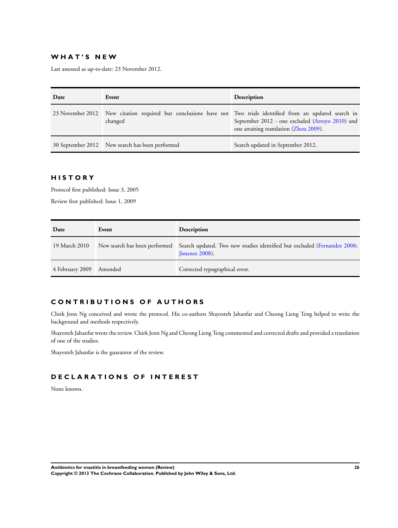# **W H A T ' S N E W**

Last assessed as up-to-date: 23 November 2012.

| Date | Event                                                                                                                      | <b>Description</b>                                                                       |
|------|----------------------------------------------------------------------------------------------------------------------------|------------------------------------------------------------------------------------------|
|      | 23 November 2012 New citation required but conclusions have not Two trials identified from an updated search in<br>changed | September 2012 - one excluded (Arroyo 2010) and<br>one awaiting translation (Zhou 2009). |
|      | 30 September 2012 New search has been performed                                                                            | Search updated in September 2012.                                                        |

# **H I S T O R Y**

Protocol first published: Issue 3, 2005

Review first published: Issue 1, 2009

| Date            | Event   | Description                                                                                                              |
|-----------------|---------|--------------------------------------------------------------------------------------------------------------------------|
| 19 March 2010   |         | New search has been performed Search updated. Two new studies identified but excluded (Fernandez 2008;<br>Jimenez 2008). |
| 4 February 2009 | Amended | Corrected typographical error.                                                                                           |

# **C O N T R I B U T I O N S O F A U T H O R S**

Chirk Jenn Ng conceived and wrote the protocol. His co-authors Shayesteh Jahanfar and Cheong Lieng Teng helped to write the background and methods respectively.

Shayesteh Jahanfar wrote the review. Chirk Jenn Ng and Cheong Lieng Teng commented and corrected drafts and provided a translation of one of the studies.

Shayesteh Jahanfar is the guarantor of the review.

# **D E C L A R A T I O N S O F I N T E R E S T**

None known.